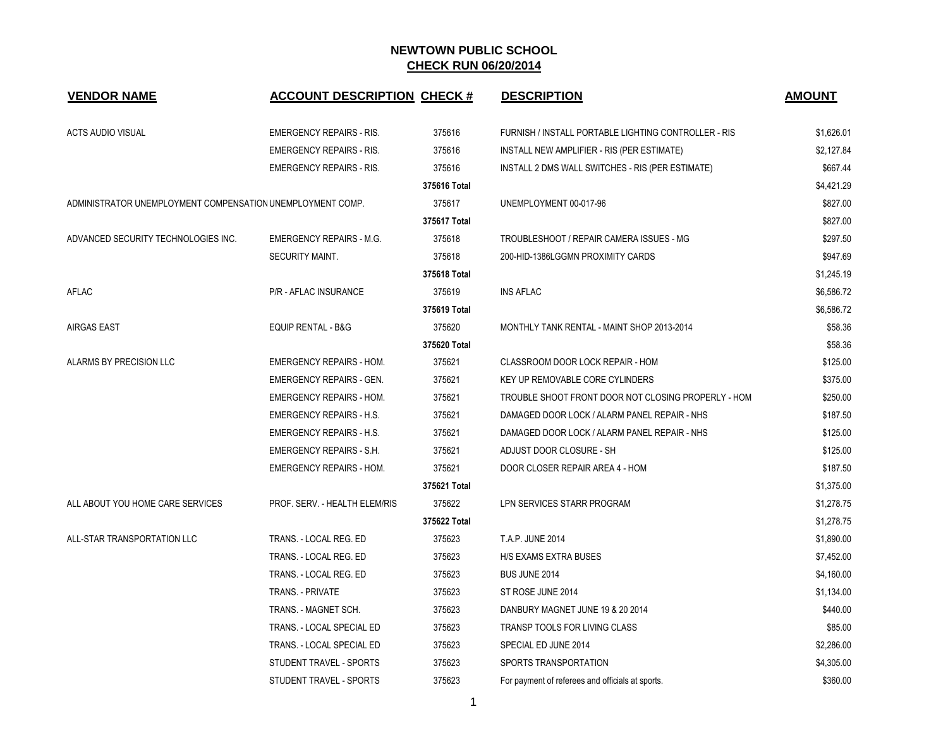| <b>VENDOR NAME</b>                                         | <b>ACCOUNT DESCRIPTION CHECK #</b> |              | <b>DESCRIPTION</b>                                   | <b>AMOUNT</b> |
|------------------------------------------------------------|------------------------------------|--------------|------------------------------------------------------|---------------|
| <b>ACTS AUDIO VISUAL</b>                                   | <b>EMERGENCY REPAIRS - RIS.</b>    | 375616       | FURNISH / INSTALL PORTABLE LIGHTING CONTROLLER - RIS | \$1,626.01    |
|                                                            | <b>EMERGENCY REPAIRS - RIS.</b>    | 375616       | INSTALL NEW AMPLIFIER - RIS (PER ESTIMATE)           | \$2,127.84    |
|                                                            | <b>EMERGENCY REPAIRS - RIS.</b>    | 375616       | INSTALL 2 DMS WALL SWITCHES - RIS (PER ESTIMATE)     | \$667.44      |
|                                                            |                                    | 375616 Total |                                                      | \$4,421.29    |
| ADMINISTRATOR UNEMPLOYMENT COMPENSATION UNEMPLOYMENT COMP. |                                    | 375617       | UNEMPLOYMENT 00-017-96                               | \$827.00      |
|                                                            |                                    | 375617 Total |                                                      | \$827.00      |
| ADVANCED SECURITY TECHNOLOGIES INC.                        | <b>EMERGENCY REPAIRS - M.G.</b>    | 375618       | TROUBLESHOOT / REPAIR CAMERA ISSUES - MG             | \$297.50      |
|                                                            | SECURITY MAINT.                    | 375618       | 200-HID-1386LGGMN PROXIMITY CARDS                    | \$947.69      |
|                                                            |                                    | 375618 Total |                                                      | \$1,245.19    |
| AFLAC                                                      | P/R - AFLAC INSURANCE              | 375619       | <b>INS AFLAC</b>                                     | \$6,586.72    |
|                                                            |                                    | 375619 Total |                                                      | \$6,586.72    |
| <b>AIRGAS EAST</b>                                         | <b>EQUIP RENTAL - B&amp;G</b>      | 375620       | MONTHLY TANK RENTAL - MAINT SHOP 2013-2014           | \$58.36       |
|                                                            |                                    | 375620 Total |                                                      | \$58.36       |
| ALARMS BY PRECISION LLC                                    | <b>EMERGENCY REPAIRS - HOM.</b>    | 375621       | CLASSROOM DOOR LOCK REPAIR - HOM                     | \$125.00      |
|                                                            | <b>EMERGENCY REPAIRS - GEN.</b>    | 375621       | KEY UP REMOVABLE CORE CYLINDERS                      | \$375.00      |
|                                                            | <b>EMERGENCY REPAIRS - HOM.</b>    | 375621       | TROUBLE SHOOT FRONT DOOR NOT CLOSING PROPERLY - HOM  | \$250.00      |
|                                                            | <b>EMERGENCY REPAIRS - H.S.</b>    | 375621       | DAMAGED DOOR LOCK / ALARM PANEL REPAIR - NHS         | \$187.50      |
|                                                            | <b>EMERGENCY REPAIRS - H.S.</b>    | 375621       | DAMAGED DOOR LOCK / ALARM PANEL REPAIR - NHS         | \$125.00      |
|                                                            | <b>EMERGENCY REPAIRS - S.H.</b>    | 375621       | ADJUST DOOR CLOSURE - SH                             | \$125.00      |
|                                                            | <b>EMERGENCY REPAIRS - HOM.</b>    | 375621       | DOOR CLOSER REPAIR AREA 4 - HOM                      | \$187.50      |
|                                                            |                                    | 375621 Total |                                                      | \$1,375.00    |
| ALL ABOUT YOU HOME CARE SERVICES                           | PROF. SERV. - HEALTH ELEM/RIS      | 375622       | LPN SERVICES STARR PROGRAM                           | \$1,278.75    |
|                                                            |                                    | 375622 Total |                                                      | \$1,278.75    |
| ALL-STAR TRANSPORTATION LLC                                | TRANS. - LOCAL REG. ED             | 375623       | T.A.P. JUNE 2014                                     | \$1,890.00    |
|                                                            | TRANS. - LOCAL REG. ED             | 375623       | H/S EXAMS EXTRA BUSES                                | \$7,452.00    |
|                                                            | TRANS. - LOCAL REG. ED             | 375623       | BUS JUNE 2014                                        | \$4,160.00    |
|                                                            | TRANS. - PRIVATE                   | 375623       | ST ROSE JUNE 2014                                    | \$1,134.00    |
|                                                            | TRANS. - MAGNET SCH.               | 375623       | DANBURY MAGNET JUNE 19 & 20 2014                     | \$440.00      |
|                                                            | TRANS. - LOCAL SPECIAL ED          | 375623       | TRANSP TOOLS FOR LIVING CLASS                        | \$85.00       |
|                                                            | TRANS. - LOCAL SPECIAL ED          | 375623       | SPECIAL ED JUNE 2014                                 | \$2,286.00    |
|                                                            | STUDENT TRAVEL - SPORTS            | 375623       | SPORTS TRANSPORTATION                                | \$4,305.00    |
|                                                            | STUDENT TRAVEL - SPORTS            | 375623       | For payment of referees and officials at sports.     | \$360.00      |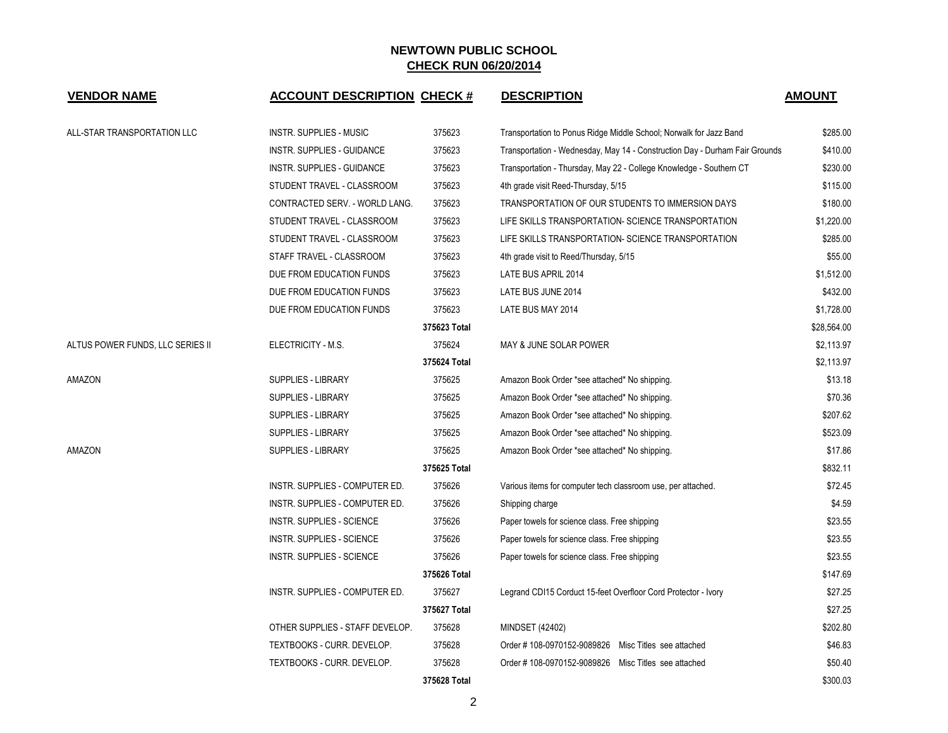| <b>VENDOR NAME</b>               | <b>ACCOUNT DESCRIPTION CHECK #</b> |              | <b>DESCRIPTION</b>                                                          | <b>AMOUNT</b> |
|----------------------------------|------------------------------------|--------------|-----------------------------------------------------------------------------|---------------|
| ALL-STAR TRANSPORTATION LLC      | <b>INSTR. SUPPLIES - MUSIC</b>     | 375623       | Transportation to Ponus Ridge Middle School; Norwalk for Jazz Band          | \$285.00      |
|                                  | INSTR. SUPPLIES - GUIDANCE         | 375623       | Transportation - Wednesday, May 14 - Construction Day - Durham Fair Grounds | \$410.00      |
|                                  | INSTR. SUPPLIES - GUIDANCE         | 375623       | Transportation - Thursday, May 22 - College Knowledge - Southern CT         | \$230.00      |
|                                  | STUDENT TRAVEL - CLASSROOM         | 375623       | 4th grade visit Reed-Thursday, 5/15                                         | \$115.00      |
|                                  | CONTRACTED SERV. - WORLD LANG.     | 375623       | TRANSPORTATION OF OUR STUDENTS TO IMMERSION DAYS                            | \$180.00      |
|                                  | STUDENT TRAVEL - CLASSROOM         | 375623       | LIFE SKILLS TRANSPORTATION- SCIENCE TRANSPORTATION                          | \$1,220.00    |
|                                  | STUDENT TRAVEL - CLASSROOM         | 375623       | LIFE SKILLS TRANSPORTATION- SCIENCE TRANSPORTATION                          | \$285.00      |
|                                  | STAFF TRAVEL - CLASSROOM           | 375623       | 4th grade visit to Reed/Thursday, 5/15                                      | \$55.00       |
|                                  | DUE FROM EDUCATION FUNDS           | 375623       | LATE BUS APRIL 2014                                                         | \$1,512.00    |
|                                  | DUE FROM EDUCATION FUNDS           | 375623       | LATE BUS JUNE 2014                                                          | \$432.00      |
|                                  | DUE FROM EDUCATION FUNDS           | 375623       | LATE BUS MAY 2014                                                           | \$1,728.00    |
|                                  |                                    | 375623 Total |                                                                             | \$28,564.00   |
| ALTUS POWER FUNDS, LLC SERIES II | ELECTRICITY - M.S.                 | 375624       | MAY & JUNE SOLAR POWER                                                      | \$2,113.97    |
|                                  |                                    | 375624 Total |                                                                             | \$2,113.97    |
| AMAZON                           | SUPPLIES - LIBRARY                 | 375625       | Amazon Book Order *see attached* No shipping.                               | \$13.18       |
|                                  | SUPPLIES - LIBRARY                 | 375625       | Amazon Book Order *see attached* No shipping.                               | \$70.36       |
|                                  | SUPPLIES - LIBRARY                 | 375625       | Amazon Book Order *see attached* No shipping.                               | \$207.62      |
|                                  | SUPPLIES - LIBRARY                 | 375625       | Amazon Book Order *see attached* No shipping.                               | \$523.09      |
| AMAZON                           | SUPPLIES - LIBRARY                 | 375625       | Amazon Book Order *see attached* No shipping.                               | \$17.86       |
|                                  |                                    | 375625 Total |                                                                             | \$832.11      |
|                                  | INSTR. SUPPLIES - COMPUTER ED.     | 375626       | Various items for computer tech classroom use, per attached.                | \$72.45       |
|                                  | INSTR. SUPPLIES - COMPUTER ED.     | 375626       | Shipping charge                                                             | \$4.59        |
|                                  | <b>INSTR. SUPPLIES - SCIENCE</b>   | 375626       | Paper towels for science class. Free shipping                               | \$23.55       |
|                                  | <b>INSTR. SUPPLIES - SCIENCE</b>   | 375626       | Paper towels for science class. Free shipping                               | \$23.55       |
|                                  | <b>INSTR. SUPPLIES - SCIENCE</b>   | 375626       | Paper towels for science class. Free shipping                               | \$23.55       |
|                                  |                                    | 375626 Total |                                                                             | \$147.69      |
|                                  | INSTR. SUPPLIES - COMPUTER ED.     | 375627       | Legrand CDI15 Corduct 15-feet Overfloor Cord Protector - Ivory              | \$27.25       |
|                                  |                                    | 375627 Total |                                                                             | \$27.25       |
|                                  | OTHER SUPPLIES - STAFF DEVELOP.    | 375628       | MINDSET (42402)                                                             | \$202.80      |
|                                  | TEXTBOOKS - CURR. DEVELOP.         | 375628       | Order #108-0970152-9089826 Misc Titles see attached                         | \$46.83       |
|                                  | TEXTBOOKS - CURR. DEVELOP.         | 375628       | Order #108-0970152-9089826 Misc Titles see attached                         | \$50.40       |
|                                  |                                    | 375628 Total |                                                                             | \$300.03      |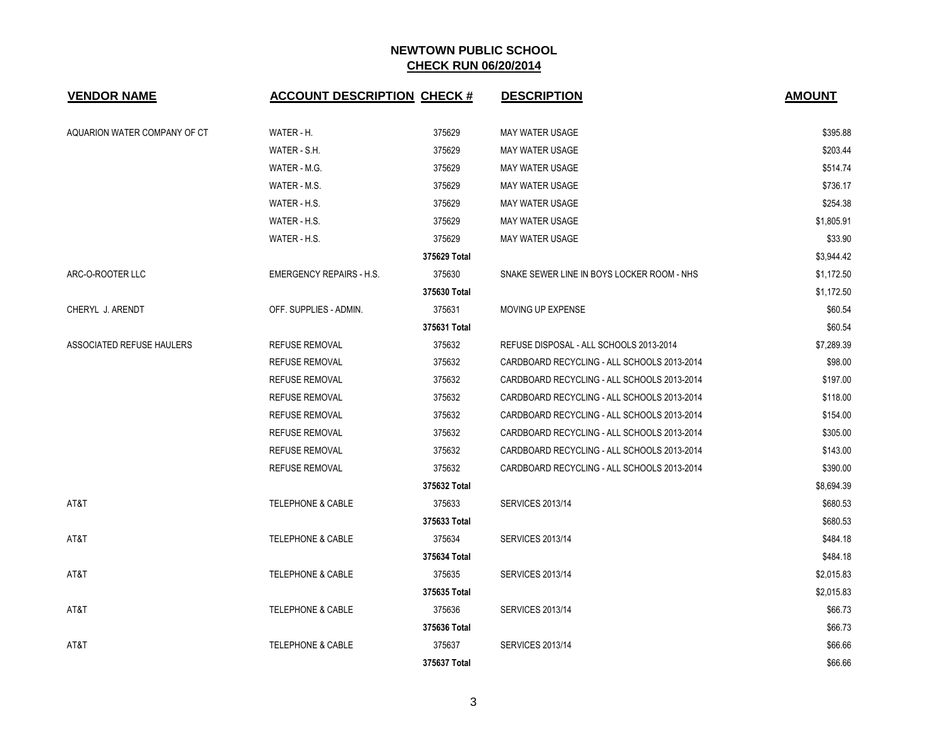| <b>VENDOR NAME</b>           | <b>ACCOUNT DESCRIPTION CHECK #</b> |              | <b>DESCRIPTION</b>                          | <b>AMOUNT</b> |
|------------------------------|------------------------------------|--------------|---------------------------------------------|---------------|
| AQUARION WATER COMPANY OF CT | WATER - H.                         | 375629       | MAY WATER USAGE                             | \$395.88      |
|                              | WATER - S.H.                       | 375629       | <b>MAY WATER USAGE</b>                      | \$203.44      |
|                              | WATER - M.G.                       | 375629       | <b>MAY WATER USAGE</b>                      | \$514.74      |
|                              | WATER - M.S.                       | 375629       | <b>MAY WATER USAGE</b>                      | \$736.17      |
|                              | WATER - H.S.                       | 375629       | <b>MAY WATER USAGE</b>                      | \$254.38      |
|                              | WATER - H.S.                       | 375629       | MAY WATER USAGE                             | \$1,805.91    |
|                              | WATER - H.S.                       | 375629       | <b>MAY WATER USAGE</b>                      | \$33.90       |
|                              |                                    | 375629 Total |                                             | \$3,944.42    |
| ARC-O-ROOTER LLC             | <b>EMERGENCY REPAIRS - H.S.</b>    | 375630       | SNAKE SEWER LINE IN BOYS LOCKER ROOM - NHS  | \$1,172.50    |
|                              |                                    | 375630 Total |                                             | \$1,172.50    |
| CHERYL J. ARENDT             | OFF. SUPPLIES - ADMIN.             | 375631       | MOVING UP EXPENSE                           | \$60.54       |
|                              |                                    | 375631 Total |                                             | \$60.54       |
| ASSOCIATED REFUSE HAULERS    | <b>REFUSE REMOVAL</b>              | 375632       | REFUSE DISPOSAL - ALL SCHOOLS 2013-2014     | \$7,289.39    |
|                              | <b>REFUSE REMOVAL</b>              | 375632       | CARDBOARD RECYCLING - ALL SCHOOLS 2013-2014 | \$98.00       |
|                              | <b>REFUSE REMOVAL</b>              | 375632       | CARDBOARD RECYCLING - ALL SCHOOLS 2013-2014 | \$197.00      |
|                              | <b>REFUSE REMOVAL</b>              | 375632       | CARDBOARD RECYCLING - ALL SCHOOLS 2013-2014 | \$118.00      |
|                              | <b>REFUSE REMOVAL</b>              | 375632       | CARDBOARD RECYCLING - ALL SCHOOLS 2013-2014 | \$154.00      |
|                              | <b>REFUSE REMOVAL</b>              | 375632       | CARDBOARD RECYCLING - ALL SCHOOLS 2013-2014 | \$305.00      |
|                              | <b>REFUSE REMOVAL</b>              | 375632       | CARDBOARD RECYCLING - ALL SCHOOLS 2013-2014 | \$143.00      |
|                              | REFUSE REMOVAL                     | 375632       | CARDBOARD RECYCLING - ALL SCHOOLS 2013-2014 | \$390.00      |
|                              |                                    | 375632 Total |                                             | \$8,694.39    |
| AT&T                         | <b>TELEPHONE &amp; CABLE</b>       | 375633       | <b>SERVICES 2013/14</b>                     | \$680.53      |
|                              |                                    | 375633 Total |                                             | \$680.53      |
| AT&T                         | <b>TELEPHONE &amp; CABLE</b>       | 375634       | <b>SERVICES 2013/14</b>                     | \$484.18      |
|                              |                                    | 375634 Total |                                             | \$484.18      |
| AT&T                         | <b>TELEPHONE &amp; CABLE</b>       | 375635       | <b>SERVICES 2013/14</b>                     | \$2,015.83    |
|                              |                                    | 375635 Total |                                             | \$2,015.83    |
| AT&T                         | <b>TELEPHONE &amp; CABLE</b>       | 375636       | <b>SERVICES 2013/14</b>                     | \$66.73       |
|                              |                                    | 375636 Total |                                             | \$66.73       |
| AT&T                         | <b>TELEPHONE &amp; CABLE</b>       | 375637       | <b>SERVICES 2013/14</b>                     | \$66.66       |
|                              |                                    | 375637 Total |                                             | \$66.66       |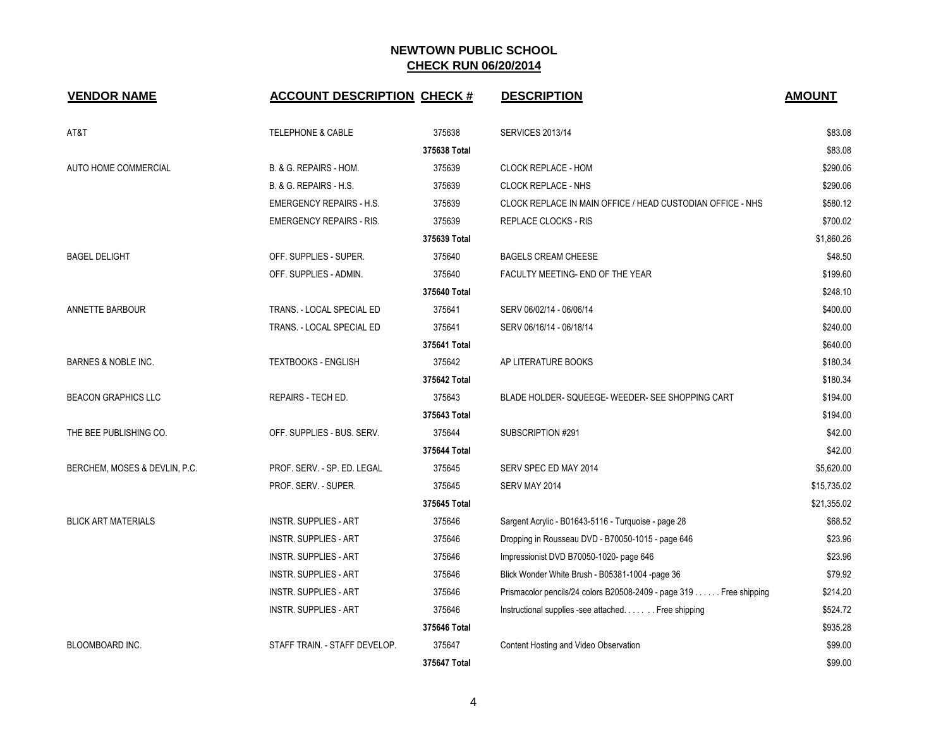| <b>VENDOR NAME</b>            | <b>ACCOUNT DESCRIPTION CHECK #</b> |              | <b>DESCRIPTION</b>                                                 | <b>AMOUNT</b> |
|-------------------------------|------------------------------------|--------------|--------------------------------------------------------------------|---------------|
| AT&T                          | <b>TELEPHONE &amp; CABLE</b>       | 375638       | <b>SERVICES 2013/14</b>                                            | \$83.08       |
|                               |                                    | 375638 Total |                                                                    | \$83.08       |
| <b>AUTO HOME COMMERCIAL</b>   | B. & G. REPAIRS - HOM.             | 375639       | <b>CLOCK REPLACE - HOM</b>                                         | \$290.06      |
|                               | B. & G. REPAIRS - H.S.             | 375639       | <b>CLOCK REPLACE - NHS</b>                                         | \$290.06      |
|                               | <b>EMERGENCY REPAIRS - H.S.</b>    | 375639       | CLOCK REPLACE IN MAIN OFFICE / HEAD CUSTODIAN OFFICE - NHS         | \$580.12      |
|                               | <b>EMERGENCY REPAIRS - RIS.</b>    | 375639       | REPLACE CLOCKS - RIS                                               | \$700.02      |
|                               |                                    | 375639 Total |                                                                    | \$1,860.26    |
| <b>BAGEL DELIGHT</b>          | OFF. SUPPLIES - SUPER.             | 375640       | <b>BAGELS CREAM CHEESE</b>                                         | \$48.50       |
|                               | OFF. SUPPLIES - ADMIN.             | 375640       | FACULTY MEETING- END OF THE YEAR                                   | \$199.60      |
|                               |                                    | 375640 Total |                                                                    | \$248.10      |
| <b>ANNETTE BARBOUR</b>        | TRANS. - LOCAL SPECIAL ED          | 375641       | SERV 06/02/14 - 06/06/14                                           | \$400.00      |
|                               | TRANS. - LOCAL SPECIAL ED          | 375641       | SERV 06/16/14 - 06/18/14                                           | \$240.00      |
|                               |                                    | 375641 Total |                                                                    | \$640.00      |
| BARNES & NOBLE INC.           | <b>TEXTBOOKS - ENGLISH</b>         | 375642       | AP LITERATURE BOOKS                                                | \$180.34      |
|                               |                                    | 375642 Total |                                                                    | \$180.34      |
| <b>BEACON GRAPHICS LLC</b>    | <b>REPAIRS - TECH ED.</b>          | 375643       | BLADE HOLDER-SQUEEGE-WEEDER-SEE SHOPPING CART                      | \$194.00      |
|                               |                                    | 375643 Total |                                                                    | \$194.00      |
| THE BEE PUBLISHING CO.        | OFF. SUPPLIES - BUS. SERV.         | 375644       | SUBSCRIPTION #291                                                  | \$42.00       |
|                               |                                    | 375644 Total |                                                                    | \$42.00       |
| BERCHEM, MOSES & DEVLIN, P.C. | PROF. SERV. - SP. ED. LEGAL        | 375645       | SERV SPEC ED MAY 2014                                              | \$5,620.00    |
|                               | PROF. SERV. - SUPER.               | 375645       | SERV MAY 2014                                                      | \$15,735.02   |
|                               |                                    | 375645 Total |                                                                    | \$21,355.02   |
| <b>BLICK ART MATERIALS</b>    | <b>INSTR. SUPPLIES - ART</b>       | 375646       | Sargent Acrylic - B01643-5116 - Turquoise - page 28                | \$68.52       |
|                               | <b>INSTR. SUPPLIES - ART</b>       | 375646       | Dropping in Rousseau DVD - B70050-1015 - page 646                  | \$23.96       |
|                               | <b>INSTR. SUPPLIES - ART</b>       | 375646       | Impressionist DVD B70050-1020- page 646                            | \$23.96       |
|                               | <b>INSTR. SUPPLIES - ART</b>       | 375646       | Blick Wonder White Brush - B05381-1004 -page 36                    | \$79.92       |
|                               | <b>INSTR. SUPPLIES - ART</b>       | 375646       | Prismacolor pencils/24 colors B20508-2409 - page 319 Free shipping | \$214.20      |
|                               | <b>INSTR. SUPPLIES - ART</b>       | 375646       | Instructional supplies -see attached Free shipping                 | \$524.72      |
|                               |                                    | 375646 Total |                                                                    | \$935.28      |
| <b>BLOOMBOARD INC.</b>        | STAFF TRAIN. - STAFF DEVELOP.      | 375647       | Content Hosting and Video Observation                              | \$99.00       |
|                               |                                    | 375647 Total |                                                                    | \$99.00       |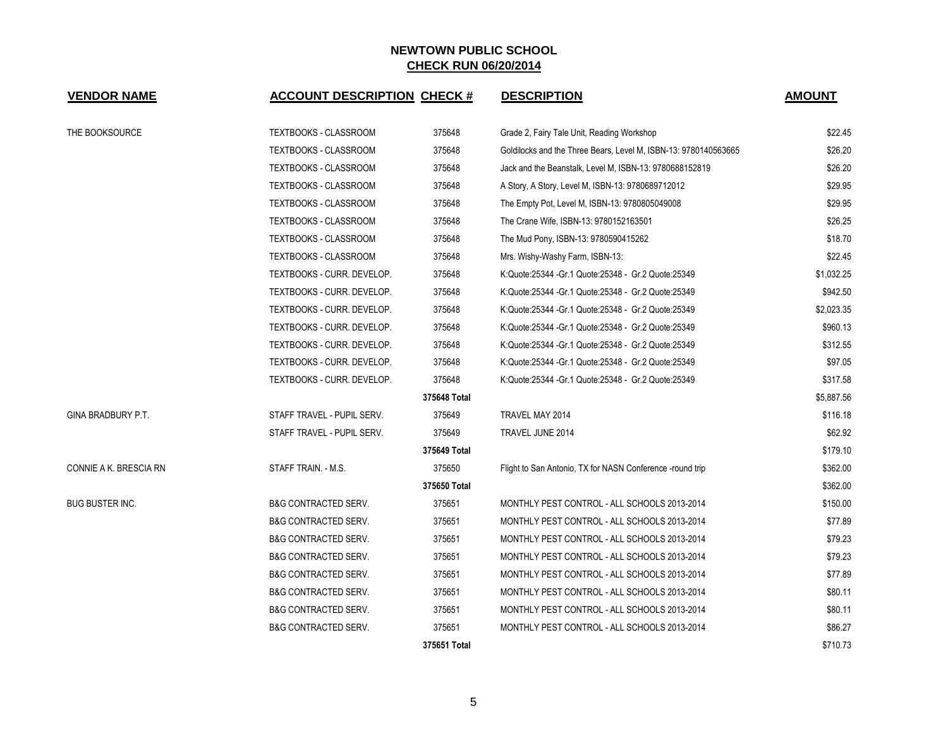| <b>VENDOR NAME</b>     | <b>ACCOUNT DESCRIPTION CHECK #</b> |              | <b>DESCRIPTION</b>                                              | <b>AMOUNT</b> |
|------------------------|------------------------------------|--------------|-----------------------------------------------------------------|---------------|
| THE BOOKSOURCE         | TEXTBOOKS - CLASSROOM              | 375648       | Grade 2, Fairy Tale Unit, Reading Workshop                      | \$22.45       |
|                        | TEXTBOOKS - CLASSROOM              | 375648       | Goldilocks and the Three Bears, Level M, ISBN-13: 9780140563665 | \$26.20       |
|                        | TEXTBOOKS - CLASSROOM              | 375648       | Jack and the Beanstalk, Level M, ISBN-13: 9780688152819         | \$26.20       |
|                        | TEXTBOOKS - CLASSROOM              | 375648       | A Story, A Story, Level M, ISBN-13: 9780689712012               | \$29.95       |
|                        | TEXTBOOKS - CLASSROOM              | 375648       | The Empty Pot, Level M, ISBN-13: 9780805049008                  | \$29.95       |
|                        | TEXTBOOKS - CLASSROOM              | 375648       | The Crane Wife, ISBN-13: 9780152163501                          | \$26.25       |
|                        | TEXTBOOKS - CLASSROOM              | 375648       | The Mud Pony, ISBN-13: 9780590415262                            | \$18.70       |
|                        | TEXTBOOKS - CLASSROOM              | 375648       | Mrs. Wishy-Washy Farm, ISBN-13:                                 | \$22.45       |
|                        | TEXTBOOKS - CURR. DEVELOP.         | 375648       | K:Quote:25344 - Gr.1 Quote:25348 - Gr.2 Quote:25349             | \$1,032.25    |
|                        | TEXTBOOKS - CURR. DEVELOP.         | 375648       | K:Quote:25344 - Gr.1 Quote:25348 - Gr.2 Quote:25349             | \$942.50      |
|                        | TEXTBOOKS - CURR. DEVELOP.         | 375648       | K:Quote:25344 - Gr. 1 Quote:25348 - Gr. 2 Quote:25349           | \$2,023.35    |
|                        | TEXTBOOKS - CURR. DEVELOP.         | 375648       | K:Quote:25344 - Gr. 1 Quote:25348 - Gr. 2 Quote:25349           | \$960.13      |
|                        | TEXTBOOKS - CURR. DEVELOP.         | 375648       | K:Quote:25344 - Gr.1 Quote:25348 - Gr.2 Quote:25349             | \$312.55      |
|                        | TEXTBOOKS - CURR. DEVELOP.         | 375648       | K:Quote:25344 - Gr.1 Quote:25348 - Gr.2 Quote:25349             | \$97.05       |
|                        | TEXTBOOKS - CURR. DEVELOP.         | 375648       | K:Quote:25344 - Gr.1 Quote:25348 - Gr.2 Quote:25349             | \$317.58      |
|                        |                                    | 375648 Total |                                                                 | \$5,887.56    |
| GINA BRADBURY P.T.     | STAFF TRAVEL - PUPIL SERV.         | 375649       | TRAVEL MAY 2014                                                 | \$116.18      |
|                        | STAFF TRAVEL - PUPIL SERV.         | 375649       | TRAVEL JUNE 2014                                                | \$62.92       |
|                        |                                    | 375649 Total |                                                                 | \$179.10      |
| CONNIE A K. BRESCIA RN | STAFF TRAIN. - M.S.                | 375650       | Flight to San Antonio, TX for NASN Conference -round trip       | \$362.00      |
|                        |                                    | 375650 Total |                                                                 | \$362.00      |
| BUG BUSTER INC.        | <b>B&amp;G CONTRACTED SERV.</b>    | 375651       | MONTHLY PEST CONTROL - ALL SCHOOLS 2013-2014                    | \$150.00      |
|                        | <b>B&amp;G CONTRACTED SERV.</b>    | 375651       | MONTHLY PEST CONTROL - ALL SCHOOLS 2013-2014                    | \$77.89       |
|                        | <b>B&amp;G CONTRACTED SERV.</b>    | 375651       | MONTHLY PEST CONTROL - ALL SCHOOLS 2013-2014                    | \$79.23       |
|                        | <b>B&amp;G CONTRACTED SERV.</b>    | 375651       | MONTHLY PEST CONTROL - ALL SCHOOLS 2013-2014                    | \$79.23       |
|                        | <b>B&amp;G CONTRACTED SERV.</b>    | 375651       | MONTHLY PEST CONTROL - ALL SCHOOLS 2013-2014                    | \$77.89       |
|                        | <b>B&amp;G CONTRACTED SERV.</b>    | 375651       | MONTHLY PEST CONTROL - ALL SCHOOLS 2013-2014                    | \$80.11       |
|                        | <b>B&amp;G CONTRACTED SERV.</b>    | 375651       | MONTHLY PEST CONTROL - ALL SCHOOLS 2013-2014                    | \$80.11       |
|                        | <b>B&amp;G CONTRACTED SERV.</b>    | 375651       | MONTHLY PEST CONTROL - ALL SCHOOLS 2013-2014                    | \$86.27       |
|                        |                                    | 375651 Total |                                                                 | \$710.73      |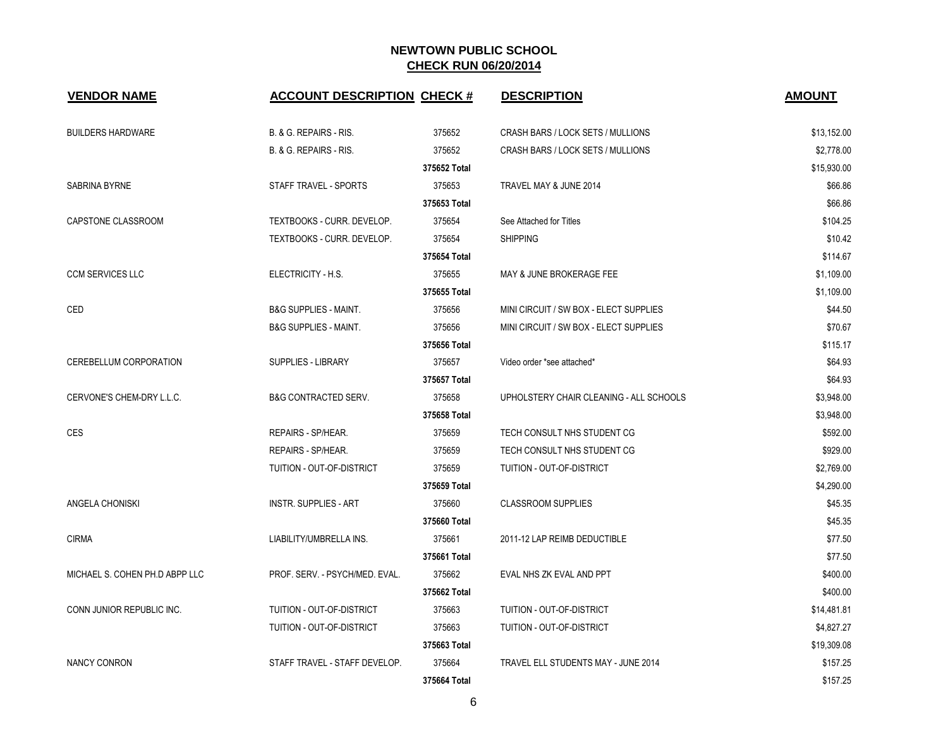| <b>VENDOR NAME</b>             | <b>ACCOUNT DESCRIPTION CHECK #</b> |              | <b>DESCRIPTION</b>                      | <b>AMOUNT</b> |
|--------------------------------|------------------------------------|--------------|-----------------------------------------|---------------|
| <b>BUILDERS HARDWARE</b>       | B. & G. REPAIRS - RIS.             | 375652       | CRASH BARS / LOCK SETS / MULLIONS       | \$13,152.00   |
|                                | B. & G. REPAIRS - RIS.             | 375652       | CRASH BARS / LOCK SETS / MULLIONS       | \$2,778.00    |
|                                |                                    | 375652 Total |                                         | \$15,930.00   |
| SABRINA BYRNE                  | STAFF TRAVEL - SPORTS              | 375653       | TRAVEL MAY & JUNE 2014                  | \$66.86       |
|                                |                                    | 375653 Total |                                         | \$66.86       |
| CAPSTONE CLASSROOM             | TEXTBOOKS - CURR. DEVELOP.         | 375654       | See Attached for Titles                 | \$104.25      |
|                                | TEXTBOOKS - CURR. DEVELOP.         | 375654       | <b>SHIPPING</b>                         | \$10.42       |
|                                |                                    | 375654 Total |                                         | \$114.67      |
| <b>CCM SERVICES LLC</b>        | ELECTRICITY - H.S.                 | 375655       | MAY & JUNE BROKERAGE FEE                | \$1,109.00    |
|                                |                                    | 375655 Total |                                         | \$1,109.00    |
| CED                            | <b>B&amp;G SUPPLIES - MAINT.</b>   | 375656       | MINI CIRCUIT / SW BOX - ELECT SUPPLIES  | \$44.50       |
|                                | <b>B&amp;G SUPPLIES - MAINT.</b>   | 375656       | MINI CIRCUIT / SW BOX - ELECT SUPPLIES  | \$70.67       |
|                                |                                    | 375656 Total |                                         | \$115.17      |
| CEREBELLUM CORPORATION         | <b>SUPPLIES - LIBRARY</b>          | 375657       | Video order *see attached*              | \$64.93       |
|                                |                                    | 375657 Total |                                         | \$64.93       |
| CERVONE'S CHEM-DRY L.L.C.      | <b>B&amp;G CONTRACTED SERV.</b>    | 375658       | UPHOLSTERY CHAIR CLEANING - ALL SCHOOLS | \$3,948.00    |
|                                |                                    | 375658 Total |                                         | \$3,948.00    |
| <b>CES</b>                     | <b>REPAIRS - SP/HEAR.</b>          | 375659       | TECH CONSULT NHS STUDENT CG             | \$592.00      |
|                                | <b>REPAIRS - SP/HEAR.</b>          | 375659       | TECH CONSULT NHS STUDENT CG             | \$929.00      |
|                                | TUITION - OUT-OF-DISTRICT          | 375659       | TUITION - OUT-OF-DISTRICT               | \$2,769.00    |
|                                |                                    | 375659 Total |                                         | \$4,290.00    |
| ANGELA CHONISKI                | <b>INSTR. SUPPLIES - ART</b>       | 375660       | <b>CLASSROOM SUPPLIES</b>               | \$45.35       |
|                                |                                    | 375660 Total |                                         | \$45.35       |
| <b>CIRMA</b>                   | LIABILITY/UMBRELLA INS.            | 375661       | 2011-12 LAP REIMB DEDUCTIBLE            | \$77.50       |
|                                |                                    | 375661 Total |                                         | \$77.50       |
| MICHAEL S. COHEN PH.D ABPP LLC | PROF. SERV. - PSYCH/MED. EVAL.     | 375662       | EVAL NHS ZK EVAL AND PPT                | \$400.00      |
|                                |                                    | 375662 Total |                                         | \$400.00      |
| CONN JUNIOR REPUBLIC INC.      | TUITION - OUT-OF-DISTRICT          | 375663       | TUITION - OUT-OF-DISTRICT               | \$14,481.81   |
|                                | TUITION - OUT-OF-DISTRICT          | 375663       | TUITION - OUT-OF-DISTRICT               | \$4,827.27    |
|                                |                                    | 375663 Total |                                         | \$19,309.08   |
| <b>NANCY CONRON</b>            | STAFF TRAVEL - STAFF DEVELOP.      | 375664       | TRAVEL ELL STUDENTS MAY - JUNE 2014     | \$157.25      |
|                                |                                    | 375664 Total |                                         | \$157.25      |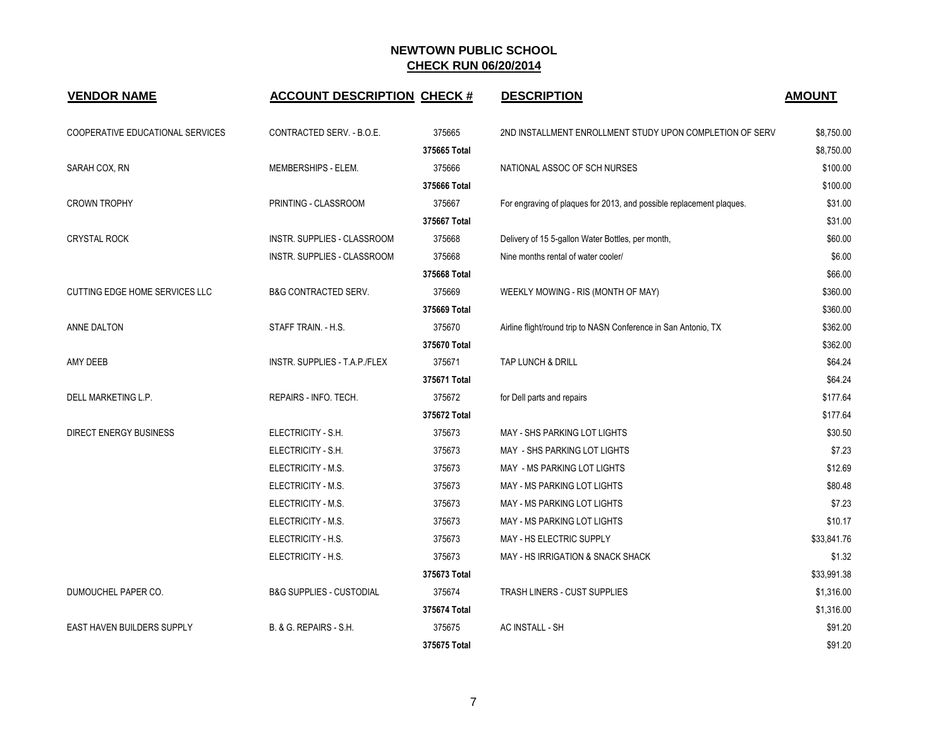| <b>VENDOR NAME</b>                | <b>ACCOUNT DESCRIPTION CHECK #</b>  |              | <b>DESCRIPTION</b>                                                   | <b>AMOUNT</b> |
|-----------------------------------|-------------------------------------|--------------|----------------------------------------------------------------------|---------------|
| COOPERATIVE EDUCATIONAL SERVICES  | CONTRACTED SERV. - B.O.E.           | 375665       | 2ND INSTALLMENT ENROLLMENT STUDY UPON COMPLETION OF SERV             | \$8,750.00    |
|                                   |                                     | 375665 Total |                                                                      | \$8,750.00    |
| SARAH COX, RN                     | MEMBERSHIPS - ELEM.                 | 375666       | NATIONAL ASSOC OF SCH NURSES                                         | \$100.00      |
|                                   |                                     | 375666 Total |                                                                      | \$100.00      |
| <b>CROWN TROPHY</b>               | PRINTING - CLASSROOM                | 375667       | For engraving of plaques for 2013, and possible replacement plaques. | \$31.00       |
|                                   |                                     | 375667 Total |                                                                      | \$31.00       |
| <b>CRYSTAL ROCK</b>               | INSTR. SUPPLIES - CLASSROOM         | 375668       | Delivery of 15 5-gallon Water Bottles, per month,                    | \$60.00       |
|                                   | INSTR. SUPPLIES - CLASSROOM         | 375668       | Nine months rental of water cooler/                                  | \$6.00        |
|                                   |                                     | 375668 Total |                                                                      | \$66.00       |
| CUTTING EDGE HOME SERVICES LLC    | <b>B&amp;G CONTRACTED SERV.</b>     | 375669       | WEEKLY MOWING - RIS (MONTH OF MAY)                                   | \$360.00      |
|                                   |                                     | 375669 Total |                                                                      | \$360.00      |
| ANNE DALTON                       | STAFF TRAIN. - H.S.                 | 375670       | Airline flight/round trip to NASN Conference in San Antonio, TX      | \$362.00      |
|                                   |                                     | 375670 Total |                                                                      | \$362.00      |
| AMY DEEB                          | INSTR. SUPPLIES - T.A.P./FLEX       | 375671       | TAP LUNCH & DRILL                                                    | \$64.24       |
|                                   |                                     | 375671 Total |                                                                      | \$64.24       |
| DELL MARKETING L.P.               | REPAIRS - INFO. TECH.               | 375672       | for Dell parts and repairs                                           | \$177.64      |
|                                   |                                     | 375672 Total |                                                                      | \$177.64      |
| <b>DIRECT ENERGY BUSINESS</b>     | ELECTRICITY - S.H.                  | 375673       | MAY - SHS PARKING LOT LIGHTS                                         | \$30.50       |
|                                   | ELECTRICITY - S.H.                  | 375673       | MAY - SHS PARKING LOT LIGHTS                                         | \$7.23        |
|                                   | ELECTRICITY - M.S.                  | 375673       | MAY - MS PARKING LOT LIGHTS                                          | \$12.69       |
|                                   | ELECTRICITY - M.S.                  | 375673       | MAY - MS PARKING LOT LIGHTS                                          | \$80.48       |
|                                   | ELECTRICITY - M.S.                  | 375673       | MAY - MS PARKING LOT LIGHTS                                          | \$7.23        |
|                                   | ELECTRICITY - M.S.                  | 375673       | MAY - MS PARKING LOT LIGHTS                                          | \$10.17       |
|                                   | ELECTRICITY - H.S.                  | 375673       | <b>MAY - HS ELECTRIC SUPPLY</b>                                      | \$33,841.76   |
|                                   | ELECTRICITY - H.S.                  | 375673       | MAY - HS IRRIGATION & SNACK SHACK                                    | \$1.32        |
|                                   |                                     | 375673 Total |                                                                      | \$33,991.38   |
| DUMOUCHEL PAPER CO.               | <b>B&amp;G SUPPLIES - CUSTODIAL</b> | 375674       | TRASH LINERS - CUST SUPPLIES                                         | \$1,316.00    |
|                                   |                                     | 375674 Total |                                                                      | \$1,316.00    |
| <b>EAST HAVEN BUILDERS SUPPLY</b> | B. & G. REPAIRS - S.H.              | 375675       | AC INSTALL - SH                                                      | \$91.20       |
|                                   |                                     | 375675 Total |                                                                      | \$91.20       |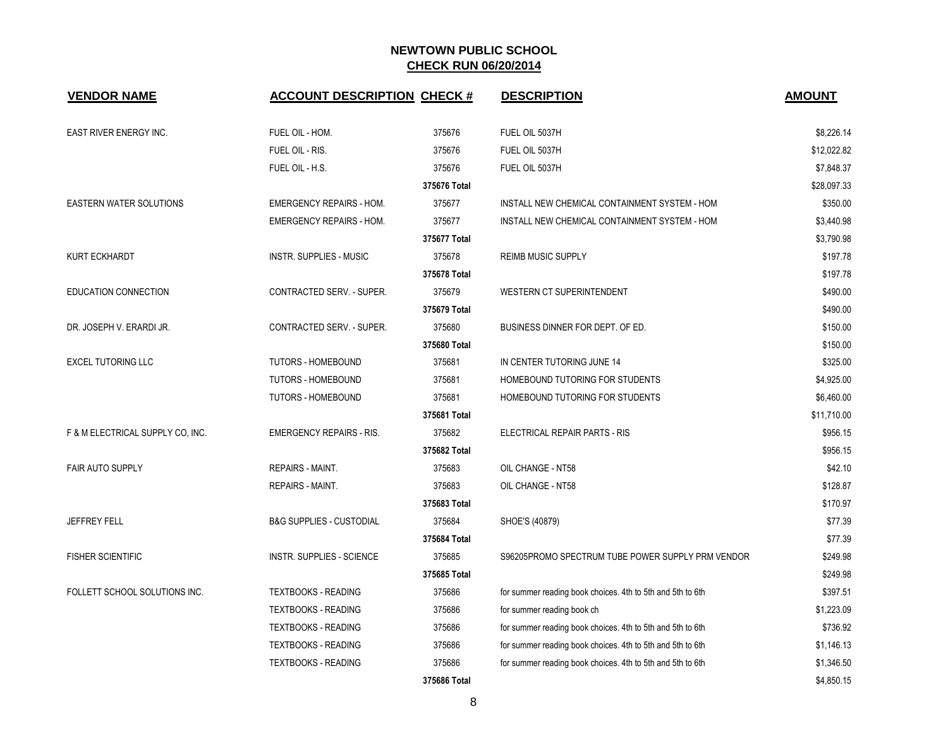| <b>VENDOR NAME</b>               | <b>ACCOUNT DESCRIPTION CHECK #</b>  |              | <b>DESCRIPTION</b>                                         | <b>AMOUNT</b> |
|----------------------------------|-------------------------------------|--------------|------------------------------------------------------------|---------------|
| EAST RIVER ENERGY INC.           | FUEL OIL - HOM.                     | 375676       | FUEL OIL 5037H                                             | \$8,226.14    |
|                                  | FUEL OIL - RIS.                     | 375676       | FUEL OIL 5037H                                             | \$12,022.82   |
|                                  | FUEL OIL - H.S.                     | 375676       | FUEL OIL 5037H                                             | \$7,848.37    |
|                                  |                                     | 375676 Total |                                                            | \$28,097.33   |
| <b>EASTERN WATER SOLUTIONS</b>   | <b>EMERGENCY REPAIRS - HOM.</b>     | 375677       | INSTALL NEW CHEMICAL CONTAINMENT SYSTEM - HOM              | \$350.00      |
|                                  | <b>EMERGENCY REPAIRS - HOM.</b>     | 375677       | INSTALL NEW CHEMICAL CONTAINMENT SYSTEM - HOM              | \$3,440.98    |
|                                  |                                     | 375677 Total |                                                            | \$3,790.98    |
| <b>KURT ECKHARDT</b>             | <b>INSTR. SUPPLIES - MUSIC</b>      | 375678       | <b>REIMB MUSIC SUPPLY</b>                                  | \$197.78      |
|                                  |                                     | 375678 Total |                                                            | \$197.78      |
| <b>EDUCATION CONNECTION</b>      | CONTRACTED SERV. - SUPER.           | 375679       | WESTERN CT SUPERINTENDENT                                  | \$490.00      |
|                                  |                                     | 375679 Total |                                                            | \$490.00      |
| DR. JOSEPH V. ERARDI JR.         | CONTRACTED SERV. - SUPER.           | 375680       | BUSINESS DINNER FOR DEPT. OF ED.                           | \$150.00      |
|                                  |                                     | 375680 Total |                                                            | \$150.00      |
| <b>EXCEL TUTORING LLC</b>        | TUTORS - HOMEBOUND                  | 375681       | IN CENTER TUTORING JUNE 14                                 | \$325.00      |
|                                  | TUTORS - HOMEBOUND                  | 375681       | HOMEBOUND TUTORING FOR STUDENTS                            | \$4,925.00    |
|                                  | TUTORS - HOMEBOUND                  | 375681       | HOMEBOUND TUTORING FOR STUDENTS                            | \$6,460.00    |
|                                  |                                     | 375681 Total |                                                            | \$11,710.00   |
| F & M ELECTRICAL SUPPLY CO, INC. | <b>EMERGENCY REPAIRS - RIS.</b>     | 375682       | ELECTRICAL REPAIR PARTS - RIS                              | \$956.15      |
|                                  |                                     | 375682 Total |                                                            | \$956.15      |
| <b>FAIR AUTO SUPPLY</b>          | <b>REPAIRS - MAINT.</b>             | 375683       | OIL CHANGE - NT58                                          | \$42.10       |
|                                  | <b>REPAIRS - MAINT.</b>             | 375683       | OIL CHANGE - NT58                                          | \$128.87      |
|                                  |                                     | 375683 Total |                                                            | \$170.97      |
| <b>JEFFREY FELL</b>              | <b>B&amp;G SUPPLIES - CUSTODIAL</b> | 375684       | SHOE'S (40879)                                             | \$77.39       |
|                                  |                                     | 375684 Total |                                                            | \$77.39       |
| <b>FISHER SCIENTIFIC</b>         | <b>INSTR. SUPPLIES - SCIENCE</b>    | 375685       | S96205PROMO SPECTRUM TUBE POWER SUPPLY PRM VENDOR          | \$249.98      |
|                                  |                                     | 375685 Total |                                                            | \$249.98      |
| FOLLETT SCHOOL SOLUTIONS INC.    | <b>TEXTBOOKS - READING</b>          | 375686       | for summer reading book choices. 4th to 5th and 5th to 6th | \$397.51      |
|                                  | <b>TEXTBOOKS - READING</b>          | 375686       | for summer reading book ch                                 | \$1,223.09    |
|                                  | <b>TEXTBOOKS - READING</b>          | 375686       | for summer reading book choices. 4th to 5th and 5th to 6th | \$736.92      |
|                                  | <b>TEXTBOOKS - READING</b>          | 375686       | for summer reading book choices. 4th to 5th and 5th to 6th | \$1,146.13    |
|                                  | <b>TEXTBOOKS - READING</b>          | 375686       | for summer reading book choices. 4th to 5th and 5th to 6th | \$1,346.50    |
|                                  |                                     | 375686 Total |                                                            | \$4,850.15    |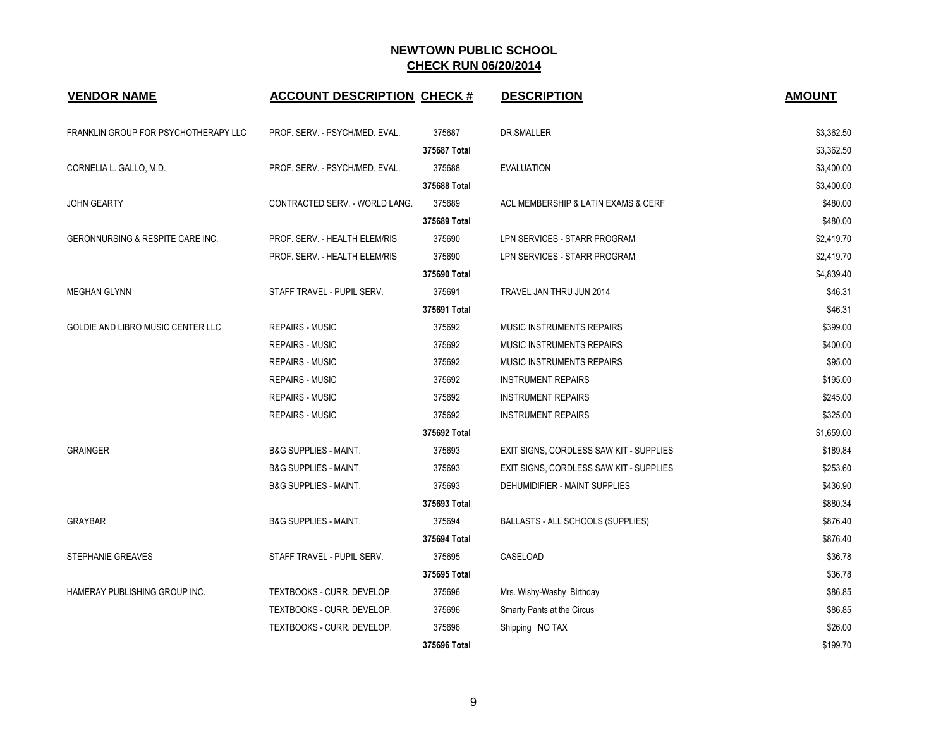| <b>VENDOR NAME</b>                          | <b>ACCOUNT DESCRIPTION CHECK #</b> |              | <b>DESCRIPTION</b>                      | <b>AMOUNT</b> |
|---------------------------------------------|------------------------------------|--------------|-----------------------------------------|---------------|
| FRANKLIN GROUP FOR PSYCHOTHERAPY LLC        | PROF. SERV. - PSYCH/MED. EVAL.     | 375687       | DR.SMALLER                              | \$3,362.50    |
|                                             |                                    | 375687 Total |                                         | \$3,362.50    |
| CORNELIA L. GALLO, M.D.                     | PROF. SERV. - PSYCH/MED. EVAL.     | 375688       | <b>EVALUATION</b>                       | \$3,400.00    |
|                                             |                                    | 375688 Total |                                         | \$3,400.00    |
| JOHN GEARTY                                 | CONTRACTED SERV. - WORLD LANG.     | 375689       | ACL MEMBERSHIP & LATIN EXAMS & CERF     | \$480.00      |
|                                             |                                    | 375689 Total |                                         | \$480.00      |
| <b>GERONNURSING &amp; RESPITE CARE INC.</b> | PROF. SERV. - HEALTH ELEM/RIS      | 375690       | LPN SERVICES - STARR PROGRAM            | \$2,419.70    |
|                                             | PROF. SERV. - HEALTH ELEM/RIS      | 375690       | LPN SERVICES - STARR PROGRAM            | \$2,419.70    |
|                                             |                                    | 375690 Total |                                         | \$4,839.40    |
| <b>MEGHAN GLYNN</b>                         | STAFF TRAVEL - PUPIL SERV.         | 375691       | TRAVEL JAN THRU JUN 2014                | \$46.31       |
|                                             |                                    | 375691 Total |                                         | \$46.31       |
| GOLDIE AND LIBRO MUSIC CENTER LLC           | <b>REPAIRS - MUSIC</b>             | 375692       | MUSIC INSTRUMENTS REPAIRS               | \$399.00      |
|                                             | <b>REPAIRS - MUSIC</b>             | 375692       | <b>MUSIC INSTRUMENTS REPAIRS</b>        | \$400.00      |
|                                             | <b>REPAIRS - MUSIC</b>             | 375692       | <b>MUSIC INSTRUMENTS REPAIRS</b>        | \$95.00       |
|                                             | <b>REPAIRS - MUSIC</b>             | 375692       | <b>INSTRUMENT REPAIRS</b>               | \$195.00      |
|                                             | <b>REPAIRS - MUSIC</b>             | 375692       | <b>INSTRUMENT REPAIRS</b>               | \$245.00      |
|                                             | <b>REPAIRS - MUSIC</b>             | 375692       | <b>INSTRUMENT REPAIRS</b>               | \$325.00      |
|                                             |                                    | 375692 Total |                                         | \$1,659.00    |
| <b>GRAINGER</b>                             | <b>B&amp;G SUPPLIES - MAINT.</b>   | 375693       | EXIT SIGNS, CORDLESS SAW KIT - SUPPLIES | \$189.84      |
|                                             | <b>B&amp;G SUPPLIES - MAINT.</b>   | 375693       | EXIT SIGNS, CORDLESS SAW KIT - SUPPLIES | \$253.60      |
|                                             | <b>B&amp;G SUPPLIES - MAINT.</b>   | 375693       | DEHUMIDIFIER - MAINT SUPPLIES           | \$436.90      |
|                                             |                                    | 375693 Total |                                         | \$880.34      |
| <b>GRAYBAR</b>                              | <b>B&amp;G SUPPLIES - MAINT.</b>   | 375694       | BALLASTS - ALL SCHOOLS (SUPPLIES)       | \$876.40      |
|                                             |                                    | 375694 Total |                                         | \$876.40      |
| STEPHANIE GREAVES                           | STAFF TRAVEL - PUPIL SERV.         | 375695       | CASELOAD                                | \$36.78       |
|                                             |                                    | 375695 Total |                                         | \$36.78       |
| HAMERAY PUBLISHING GROUP INC.               | TEXTBOOKS - CURR. DEVELOP.         | 375696       | Mrs. Wishy-Washy Birthday               | \$86.85       |
|                                             | TEXTBOOKS - CURR. DEVELOP.         | 375696       | Smarty Pants at the Circus              | \$86.85       |
|                                             | TEXTBOOKS - CURR. DEVELOP.         | 375696       | Shipping NO TAX                         | \$26.00       |
|                                             |                                    | 375696 Total |                                         | \$199.70      |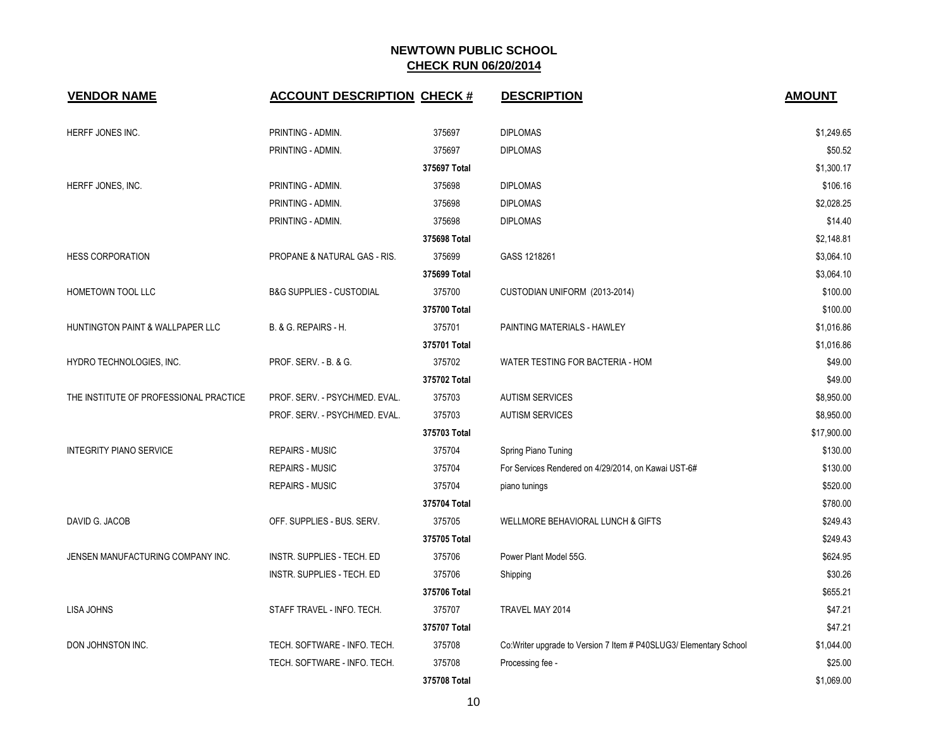| <b>VENDOR NAME</b>                     | <b>ACCOUNT DESCRIPTION CHECK #</b>  |              | <b>DESCRIPTION</b>                                                 | <b>AMOUNT</b> |
|----------------------------------------|-------------------------------------|--------------|--------------------------------------------------------------------|---------------|
| HERFF JONES INC.                       | PRINTING - ADMIN.                   | 375697       | <b>DIPLOMAS</b>                                                    | \$1,249.65    |
|                                        | PRINTING - ADMIN.                   | 375697       | <b>DIPLOMAS</b>                                                    | \$50.52       |
|                                        |                                     | 375697 Total |                                                                    | \$1,300.17    |
| HERFF JONES, INC.                      | PRINTING - ADMIN.                   | 375698       | <b>DIPLOMAS</b>                                                    | \$106.16      |
|                                        | PRINTING - ADMIN.                   | 375698       | <b>DIPLOMAS</b>                                                    | \$2,028.25    |
|                                        | PRINTING - ADMIN.                   | 375698       | <b>DIPLOMAS</b>                                                    | \$14.40       |
|                                        |                                     | 375698 Total |                                                                    | \$2,148.81    |
| <b>HESS CORPORATION</b>                | PROPANE & NATURAL GAS - RIS.        | 375699       | GASS 1218261                                                       | \$3,064.10    |
|                                        |                                     | 375699 Total |                                                                    | \$3,064.10    |
| HOMETOWN TOOL LLC                      | <b>B&amp;G SUPPLIES - CUSTODIAL</b> | 375700       | CUSTODIAN UNIFORM (2013-2014)                                      | \$100.00      |
|                                        |                                     | 375700 Total |                                                                    | \$100.00      |
| HUNTINGTON PAINT & WALLPAPER LLC       | B. & G. REPAIRS - H.                | 375701       | PAINTING MATERIALS - HAWLEY                                        | \$1,016.86    |
|                                        |                                     | 375701 Total |                                                                    | \$1,016.86    |
| HYDRO TECHNOLOGIES, INC.               | PROF. SERV. - B. & G.               | 375702       | WATER TESTING FOR BACTERIA - HOM                                   | \$49.00       |
|                                        |                                     | 375702 Total |                                                                    | \$49.00       |
| THE INSTITUTE OF PROFESSIONAL PRACTICE | PROF. SERV. - PSYCH/MED. EVAL.      | 375703       | <b>AUTISM SERVICES</b>                                             | \$8,950.00    |
|                                        | PROF. SERV. - PSYCH/MED. EVAL.      | 375703       | <b>AUTISM SERVICES</b>                                             | \$8,950.00    |
|                                        |                                     | 375703 Total |                                                                    | \$17,900.00   |
| <b>INTEGRITY PIANO SERVICE</b>         | <b>REPAIRS - MUSIC</b>              | 375704       | Spring Piano Tuning                                                | \$130.00      |
|                                        | <b>REPAIRS - MUSIC</b>              | 375704       | For Services Rendered on 4/29/2014, on Kawai UST-6#                | \$130.00      |
|                                        | <b>REPAIRS - MUSIC</b>              | 375704       | piano tunings                                                      | \$520.00      |
|                                        |                                     | 375704 Total |                                                                    | \$780.00      |
| DAVID G. JACOB                         | OFF. SUPPLIES - BUS. SERV.          | 375705       | WELLMORE BEHAVIORAL LUNCH & GIFTS                                  | \$249.43      |
|                                        |                                     | 375705 Total |                                                                    | \$249.43      |
| JENSEN MANUFACTURING COMPANY INC.      | INSTR. SUPPLIES - TECH. ED          | 375706       | Power Plant Model 55G.                                             | \$624.95      |
|                                        | INSTR. SUPPLIES - TECH. ED          | 375706       | Shipping                                                           | \$30.26       |
|                                        |                                     | 375706 Total |                                                                    | \$655.21      |
| LISA JOHNS                             | STAFF TRAVEL - INFO. TECH.          | 375707       | TRAVEL MAY 2014                                                    | \$47.21       |
|                                        |                                     | 375707 Total |                                                                    | \$47.21       |
| DON JOHNSTON INC.                      | TECH. SOFTWARE - INFO. TECH.        | 375708       | Co: Writer upgrade to Version 7 Item # P40SLUG3/ Elementary School | \$1,044.00    |
|                                        | TECH. SOFTWARE - INFO. TECH.        | 375708       | Processing fee -                                                   | \$25.00       |
|                                        |                                     | 375708 Total |                                                                    | \$1,069.00    |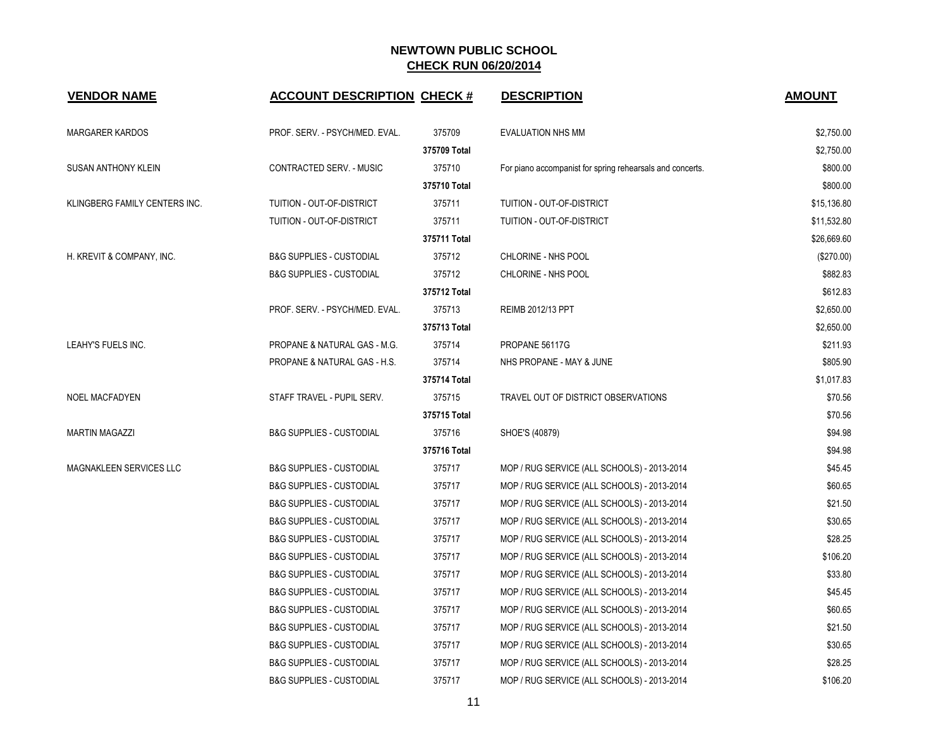| <b>VENDOR NAME</b>            | <b>ACCOUNT DESCRIPTION CHECK #</b>  |              | <b>DESCRIPTION</b>                                        | <b>AMOUNT</b> |
|-------------------------------|-------------------------------------|--------------|-----------------------------------------------------------|---------------|
| <b>MARGARER KARDOS</b>        | PROF. SERV. - PSYCH/MED. EVAL.      | 375709       | <b>EVALUATION NHS MM</b>                                  | \$2,750.00    |
|                               |                                     | 375709 Total |                                                           | \$2,750.00    |
| <b>SUSAN ANTHONY KLEIN</b>    | CONTRACTED SERV. - MUSIC            | 375710       | For piano accompanist for spring rehearsals and concerts. | \$800.00      |
|                               |                                     | 375710 Total |                                                           | \$800.00      |
| KLINGBERG FAMILY CENTERS INC. | TUITION - OUT-OF-DISTRICT           | 375711       | TUITION - OUT-OF-DISTRICT                                 | \$15,136.80   |
|                               | TUITION - OUT-OF-DISTRICT           | 375711       | TUITION - OUT-OF-DISTRICT                                 | \$11,532.80   |
|                               |                                     | 375711 Total |                                                           | \$26,669.60   |
| H. KREVIT & COMPANY, INC.     | <b>B&amp;G SUPPLIES - CUSTODIAL</b> | 375712       | CHLORINE - NHS POOL                                       | $(\$270.00)$  |
|                               | <b>B&amp;G SUPPLIES - CUSTODIAL</b> | 375712       | CHLORINE - NHS POOL                                       | \$882.83      |
|                               |                                     | 375712 Total |                                                           | \$612.83      |
|                               | PROF. SERV. - PSYCH/MED. EVAL.      | 375713       | REIMB 2012/13 PPT                                         | \$2,650.00    |
|                               |                                     | 375713 Total |                                                           | \$2,650.00    |
| LEAHY'S FUELS INC.            | PROPANE & NATURAL GAS - M.G.        | 375714       | PROPANE 56117G                                            | \$211.93      |
|                               | PROPANE & NATURAL GAS - H.S.        | 375714       | NHS PROPANE - MAY & JUNE                                  | \$805.90      |
|                               |                                     | 375714 Total |                                                           | \$1,017.83    |
| <b>NOEL MACFADYEN</b>         | STAFF TRAVEL - PUPIL SERV.          | 375715       | TRAVEL OUT OF DISTRICT OBSERVATIONS                       | \$70.56       |
|                               |                                     | 375715 Total |                                                           | \$70.56       |
| <b>MARTIN MAGAZZI</b>         | <b>B&amp;G SUPPLIES - CUSTODIAL</b> | 375716       | SHOE'S (40879)                                            | \$94.98       |
|                               |                                     | 375716 Total |                                                           | \$94.98       |
| MAGNAKLEEN SERVICES LLC       | <b>B&amp;G SUPPLIES - CUSTODIAL</b> | 375717       | MOP / RUG SERVICE (ALL SCHOOLS) - 2013-2014               | \$45.45       |
|                               | <b>B&amp;G SUPPLIES - CUSTODIAL</b> | 375717       | MOP / RUG SERVICE (ALL SCHOOLS) - 2013-2014               | \$60.65       |
|                               | <b>B&amp;G SUPPLIES - CUSTODIAL</b> | 375717       | MOP / RUG SERVICE (ALL SCHOOLS) - 2013-2014               | \$21.50       |
|                               | <b>B&amp;G SUPPLIES - CUSTODIAL</b> | 375717       | MOP / RUG SERVICE (ALL SCHOOLS) - 2013-2014               | \$30.65       |
|                               | <b>B&amp;G SUPPLIES - CUSTODIAL</b> | 375717       | MOP / RUG SERVICE (ALL SCHOOLS) - 2013-2014               | \$28.25       |
|                               | <b>B&amp;G SUPPLIES - CUSTODIAL</b> | 375717       | MOP / RUG SERVICE (ALL SCHOOLS) - 2013-2014               | \$106.20      |
|                               | <b>B&amp;G SUPPLIES - CUSTODIAL</b> | 375717       | MOP / RUG SERVICE (ALL SCHOOLS) - 2013-2014               | \$33.80       |
|                               | <b>B&amp;G SUPPLIES - CUSTODIAL</b> | 375717       | MOP / RUG SERVICE (ALL SCHOOLS) - 2013-2014               | \$45.45       |
|                               | <b>B&amp;G SUPPLIES - CUSTODIAL</b> | 375717       | MOP / RUG SERVICE (ALL SCHOOLS) - 2013-2014               | \$60.65       |
|                               | <b>B&amp;G SUPPLIES - CUSTODIAL</b> | 375717       | MOP / RUG SERVICE (ALL SCHOOLS) - 2013-2014               | \$21.50       |
|                               | <b>B&amp;G SUPPLIES - CUSTODIAL</b> | 375717       | MOP / RUG SERVICE (ALL SCHOOLS) - 2013-2014               | \$30.65       |
|                               | <b>B&amp;G SUPPLIES - CUSTODIAL</b> | 375717       | MOP / RUG SERVICE (ALL SCHOOLS) - 2013-2014               | \$28.25       |
|                               | <b>B&amp;G SUPPLIES - CUSTODIAL</b> | 375717       | MOP / RUG SERVICE (ALL SCHOOLS) - 2013-2014               | \$106.20      |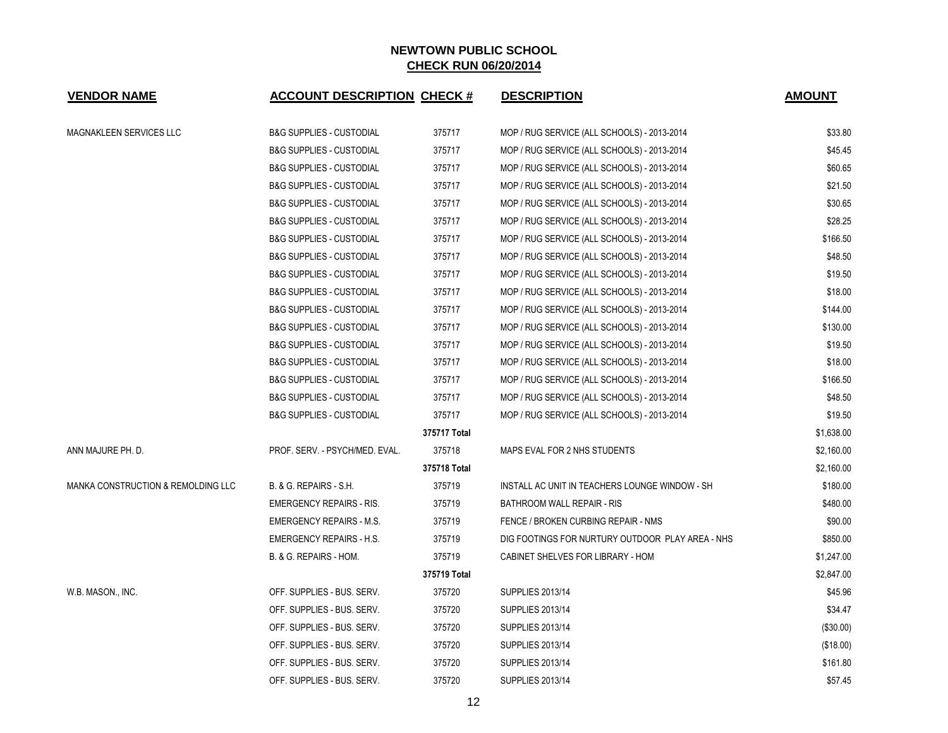| <b>VENDOR NAME</b>                            | <b>ACCOUNT DESCRIPTION CHECK #</b>  |              | <b>DESCRIPTION</b>                               | <b>AMOUNT</b> |
|-----------------------------------------------|-------------------------------------|--------------|--------------------------------------------------|---------------|
| <b>MAGNAKLEEN SERVICES LLC</b>                | <b>B&amp;G SUPPLIES - CUSTODIAL</b> | 375717       | MOP / RUG SERVICE (ALL SCHOOLS) - 2013-2014      | \$33.80       |
|                                               | <b>B&amp;G SUPPLIES - CUSTODIAL</b> | 375717       | MOP / RUG SERVICE (ALL SCHOOLS) - 2013-2014      | \$45.45       |
|                                               | <b>B&amp;G SUPPLIES - CUSTODIAL</b> | 375717       | MOP / RUG SERVICE (ALL SCHOOLS) - 2013-2014      | \$60.65       |
|                                               | <b>B&amp;G SUPPLIES - CUSTODIAL</b> | 375717       | MOP / RUG SERVICE (ALL SCHOOLS) - 2013-2014      | \$21.50       |
|                                               | <b>B&amp;G SUPPLIES - CUSTODIAL</b> | 375717       | MOP / RUG SERVICE (ALL SCHOOLS) - 2013-2014      | \$30.65       |
|                                               | <b>B&amp;G SUPPLIES - CUSTODIAL</b> | 375717       | MOP / RUG SERVICE (ALL SCHOOLS) - 2013-2014      | \$28.25       |
|                                               | <b>B&amp;G SUPPLIES - CUSTODIAL</b> | 375717       | MOP / RUG SERVICE (ALL SCHOOLS) - 2013-2014      | \$166.50      |
|                                               | <b>B&amp;G SUPPLIES - CUSTODIAL</b> | 375717       | MOP / RUG SERVICE (ALL SCHOOLS) - 2013-2014      | \$48.50       |
|                                               | <b>B&amp;G SUPPLIES - CUSTODIAL</b> | 375717       | MOP / RUG SERVICE (ALL SCHOOLS) - 2013-2014      | \$19.50       |
|                                               | <b>B&amp;G SUPPLIES - CUSTODIAL</b> | 375717       | MOP / RUG SERVICE (ALL SCHOOLS) - 2013-2014      | \$18.00       |
|                                               | <b>B&amp;G SUPPLIES - CUSTODIAL</b> | 375717       | MOP / RUG SERVICE (ALL SCHOOLS) - 2013-2014      | \$144.00      |
|                                               | <b>B&amp;G SUPPLIES - CUSTODIAL</b> | 375717       | MOP / RUG SERVICE (ALL SCHOOLS) - 2013-2014      | \$130.00      |
|                                               | <b>B&amp;G SUPPLIES - CUSTODIAL</b> | 375717       | MOP / RUG SERVICE (ALL SCHOOLS) - 2013-2014      | \$19.50       |
|                                               | <b>B&amp;G SUPPLIES - CUSTODIAL</b> | 375717       | MOP / RUG SERVICE (ALL SCHOOLS) - 2013-2014      | \$18.00       |
|                                               | <b>B&amp;G SUPPLIES - CUSTODIAL</b> | 375717       | MOP / RUG SERVICE (ALL SCHOOLS) - 2013-2014      | \$166.50      |
|                                               | <b>B&amp;G SUPPLIES - CUSTODIAL</b> | 375717       | MOP / RUG SERVICE (ALL SCHOOLS) - 2013-2014      | \$48.50       |
|                                               | <b>B&amp;G SUPPLIES - CUSTODIAL</b> | 375717       | MOP / RUG SERVICE (ALL SCHOOLS) - 2013-2014      | \$19.50       |
|                                               |                                     | 375717 Total |                                                  | \$1,638.00    |
| ANN MAJURE PH. D.                             | PROF. SERV. - PSYCH/MED. EVAL.      | 375718       | MAPS EVAL FOR 2 NHS STUDENTS                     | \$2,160.00    |
|                                               |                                     | 375718 Total |                                                  | \$2,160.00    |
| <b>MANKA CONSTRUCTION &amp; REMOLDING LLC</b> | B. & G. REPAIRS - S.H.              | 375719       | INSTALL AC UNIT IN TEACHERS LOUNGE WINDOW - SH   | \$180.00      |
|                                               | <b>EMERGENCY REPAIRS - RIS.</b>     | 375719       | BATHROOM WALL REPAIR - RIS                       | \$480.00      |
|                                               | <b>EMERGENCY REPAIRS - M.S.</b>     | 375719       | FENCE / BROKEN CURBING REPAIR - NMS              | \$90.00       |
|                                               | <b>EMERGENCY REPAIRS - H.S.</b>     | 375719       | DIG FOOTINGS FOR NURTURY OUTDOOR PLAY AREA - NHS | \$850.00      |
|                                               | B. & G. REPAIRS - HOM.              | 375719       | CABINET SHELVES FOR LIBRARY - HOM                | \$1,247.00    |
|                                               |                                     | 375719 Total |                                                  | \$2,847.00    |
| W.B. MASON., INC.                             | OFF. SUPPLIES - BUS. SERV.          | 375720       | <b>SUPPLIES 2013/14</b>                          | \$45.96       |
|                                               | OFF. SUPPLIES - BUS. SERV.          | 375720       | <b>SUPPLIES 2013/14</b>                          | \$34.47       |
|                                               | OFF. SUPPLIES - BUS. SERV.          | 375720       | <b>SUPPLIES 2013/14</b>                          | (\$30.00)     |
|                                               | OFF. SUPPLIES - BUS. SERV.          | 375720       | <b>SUPPLIES 2013/14</b>                          | (\$18.00)     |
|                                               | OFF. SUPPLIES - BUS. SERV.          | 375720       | <b>SUPPLIES 2013/14</b>                          | \$161.80      |
|                                               | OFF. SUPPLIES - BUS. SERV.          | 375720       | <b>SUPPLIES 2013/14</b>                          | \$57.45       |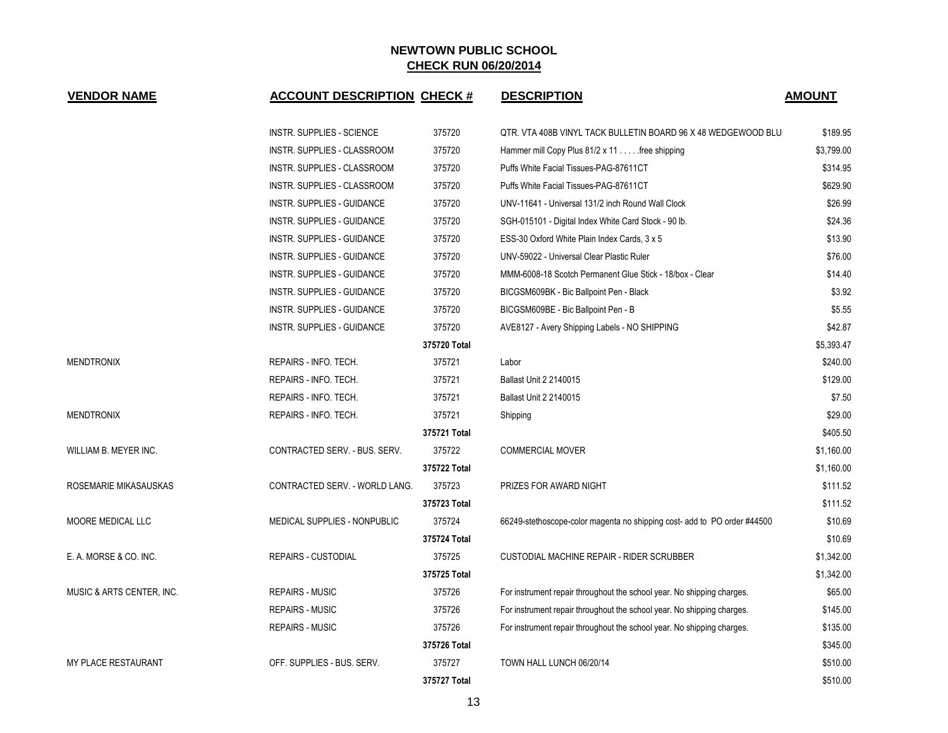| <b>VENDOR NAME</b>         | <b>ACCOUNT DESCRIPTION CHECK #</b> |              | <b>DESCRIPTION</b>                                                       | <b>AMOUNT</b> |  |
|----------------------------|------------------------------------|--------------|--------------------------------------------------------------------------|---------------|--|
|                            | <b>INSTR. SUPPLIES - SCIENCE</b>   | 375720       | QTR. VTA 408B VINYL TACK BULLETIN BOARD 96 X 48 WEDGEWOOD BLU            | \$189.95      |  |
|                            | INSTR. SUPPLIES - CLASSROOM        | 375720       | Hammer mill Copy Plus 81/2 x 11 free shipping                            | \$3,799.00    |  |
|                            | INSTR. SUPPLIES - CLASSROOM        | 375720       | Puffs White Facial Tissues-PAG-87611CT                                   | \$314.95      |  |
|                            | <b>INSTR. SUPPLIES - CLASSROOM</b> | 375720       | Puffs White Facial Tissues-PAG-87611CT                                   | \$629.90      |  |
|                            | <b>INSTR. SUPPLIES - GUIDANCE</b>  | 375720       | UNV-11641 - Universal 131/2 inch Round Wall Clock                        | \$26.99       |  |
|                            | <b>INSTR. SUPPLIES - GUIDANCE</b>  | 375720       | SGH-015101 - Digital Index White Card Stock - 90 lb.                     | \$24.36       |  |
|                            | <b>INSTR. SUPPLIES - GUIDANCE</b>  | 375720       | ESS-30 Oxford White Plain Index Cards, 3 x 5                             | \$13.90       |  |
|                            | <b>INSTR. SUPPLIES - GUIDANCE</b>  | 375720       | UNV-59022 - Universal Clear Plastic Ruler                                | \$76.00       |  |
|                            | <b>INSTR. SUPPLIES - GUIDANCE</b>  | 375720       | MMM-6008-18 Scotch Permanent Glue Stick - 18/box - Clear                 | \$14.40       |  |
|                            | INSTR. SUPPLIES - GUIDANCE         | 375720       | BICGSM609BK - Bic Ballpoint Pen - Black                                  | \$3.92        |  |
|                            | <b>INSTR. SUPPLIES - GUIDANCE</b>  | 375720       | BICGSM609BE - Bic Ballpoint Pen - B                                      | \$5.55        |  |
|                            | INSTR. SUPPLIES - GUIDANCE         | 375720       | AVE8127 - Avery Shipping Labels - NO SHIPPING                            | \$42.87       |  |
|                            |                                    | 375720 Total |                                                                          | \$5,393.47    |  |
| <b>MENDTRONIX</b>          | REPAIRS - INFO. TECH.              | 375721       | Labor                                                                    | \$240.00      |  |
|                            | REPAIRS - INFO. TECH.              | 375721       | Ballast Unit 2 2140015                                                   | \$129.00      |  |
|                            | REPAIRS - INFO. TECH.              | 375721       | Ballast Unit 2 2140015                                                   | \$7.50        |  |
| <b>MENDTRONIX</b>          | REPAIRS - INFO. TECH.              | 375721       | Shipping                                                                 | \$29.00       |  |
|                            |                                    | 375721 Total |                                                                          | \$405.50      |  |
| WILLIAM B. MEYER INC.      | CONTRACTED SERV. - BUS. SERV.      | 375722       | <b>COMMERCIAL MOVER</b>                                                  | \$1,160.00    |  |
|                            |                                    | 375722 Total |                                                                          | \$1,160.00    |  |
| ROSEMARIE MIKASAUSKAS      | CONTRACTED SERV. - WORLD LANG.     | 375723       | PRIZES FOR AWARD NIGHT                                                   | \$111.52      |  |
|                            |                                    | 375723 Total |                                                                          | \$111.52      |  |
| MOORE MEDICAL LLC          | MEDICAL SUPPLIES - NONPUBLIC       | 375724       | 66249-stethoscope-color magenta no shipping cost- add to PO order #44500 | \$10.69       |  |
|                            |                                    | 375724 Total |                                                                          | \$10.69       |  |
| E. A. MORSE & CO. INC.     | <b>REPAIRS - CUSTODIAL</b>         | 375725       | CUSTODIAL MACHINE REPAIR - RIDER SCRUBBER                                | \$1,342.00    |  |
|                            |                                    | 375725 Total |                                                                          | \$1,342.00    |  |
| MUSIC & ARTS CENTER, INC.  | <b>REPAIRS - MUSIC</b>             | 375726       | For instrument repair throughout the school year. No shipping charges.   | \$65.00       |  |
|                            | <b>REPAIRS - MUSIC</b>             | 375726       | For instrument repair throughout the school year. No shipping charges.   | \$145.00      |  |
|                            | <b>REPAIRS - MUSIC</b>             | 375726       | For instrument repair throughout the school year. No shipping charges.   | \$135.00      |  |
|                            |                                    | 375726 Total |                                                                          | \$345.00      |  |
| <b>MY PLACE RESTAURANT</b> | OFF. SUPPLIES - BUS. SERV.         | 375727       | TOWN HALL LUNCH 06/20/14                                                 | \$510.00      |  |
|                            |                                    | 375727 Total |                                                                          | \$510.00      |  |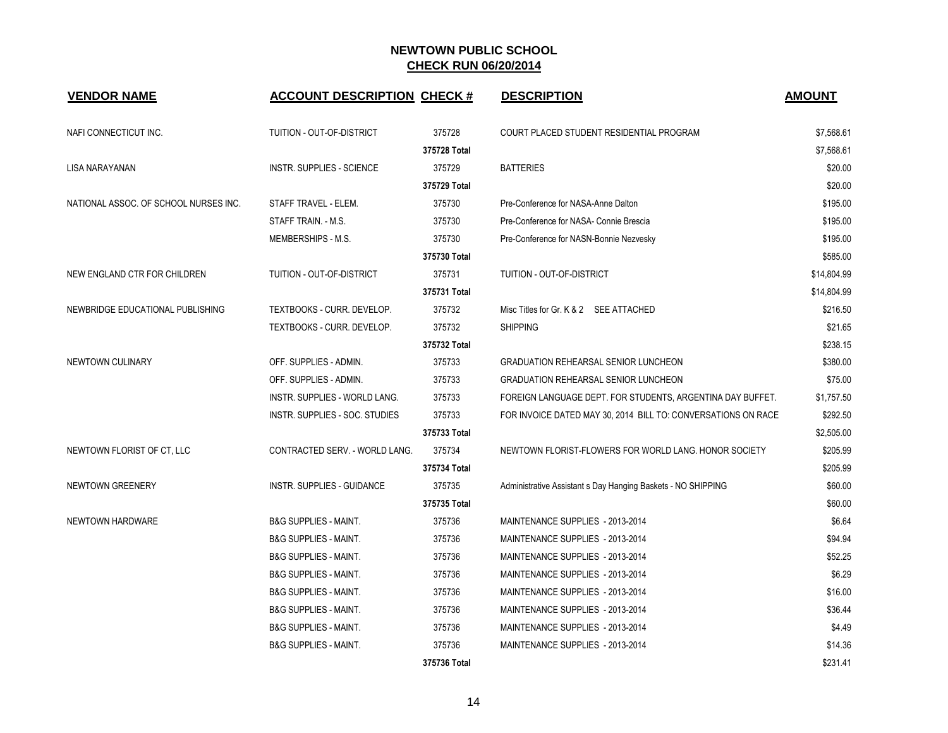| <b>VENDOR NAME</b>                    | <b>ACCOUNT DESCRIPTION CHECK #</b> |              | <b>DESCRIPTION</b>                                            | <b>AMOUNT</b> |
|---------------------------------------|------------------------------------|--------------|---------------------------------------------------------------|---------------|
| NAFI CONNECTICUT INC.                 | TUITION - OUT-OF-DISTRICT          | 375728       | COURT PLACED STUDENT RESIDENTIAL PROGRAM                      | \$7,568.61    |
|                                       |                                    | 375728 Total |                                                               | \$7,568.61    |
| LISA NARAYANAN                        | <b>INSTR. SUPPLIES - SCIENCE</b>   | 375729       | <b>BATTERIES</b>                                              | \$20.00       |
|                                       |                                    | 375729 Total |                                                               | \$20.00       |
| NATIONAL ASSOC. OF SCHOOL NURSES INC. | STAFF TRAVEL - ELEM.               | 375730       | Pre-Conference for NASA-Anne Dalton                           | \$195.00      |
|                                       | STAFF TRAIN. - M.S.                | 375730       | Pre-Conference for NASA- Connie Brescia                       | \$195.00      |
|                                       | MEMBERSHIPS - M.S.                 | 375730       | Pre-Conference for NASN-Bonnie Nezvesky                       | \$195.00      |
|                                       |                                    | 375730 Total |                                                               | \$585.00      |
| NEW ENGLAND CTR FOR CHILDREN          | TUITION - OUT-OF-DISTRICT          | 375731       | TUITION - OUT-OF-DISTRICT                                     | \$14,804.99   |
|                                       |                                    | 375731 Total |                                                               | \$14,804.99   |
| NEWBRIDGE EDUCATIONAL PUBLISHING      | TEXTBOOKS - CURR. DEVELOP.         | 375732       | Misc Titles for Gr. K & 2 SEE ATTACHED                        | \$216.50      |
|                                       | TEXTBOOKS - CURR. DEVELOP.         | 375732       | <b>SHIPPING</b>                                               | \$21.65       |
|                                       |                                    | 375732 Total |                                                               | \$238.15      |
| <b>NEWTOWN CULINARY</b>               | OFF. SUPPLIES - ADMIN.             | 375733       | <b>GRADUATION REHEARSAL SENIOR LUNCHEON</b>                   | \$380.00      |
|                                       | OFF. SUPPLIES - ADMIN.             | 375733       | <b>GRADUATION REHEARSAL SENIOR LUNCHEON</b>                   | \$75.00       |
|                                       | INSTR. SUPPLIES - WORLD LANG.      | 375733       | FOREIGN LANGUAGE DEPT. FOR STUDENTS, ARGENTINA DAY BUFFET.    | \$1,757.50    |
|                                       | INSTR. SUPPLIES - SOC. STUDIES     | 375733       | FOR INVOICE DATED MAY 30, 2014 BILL TO: CONVERSATIONS ON RACE | \$292.50      |
|                                       |                                    | 375733 Total |                                                               | \$2,505.00    |
| NEWTOWN FLORIST OF CT, LLC            | CONTRACTED SERV. - WORLD LANG.     | 375734       | NEWTOWN FLORIST-FLOWERS FOR WORLD LANG. HONOR SOCIETY         | \$205.99      |
|                                       |                                    | 375734 Total |                                                               | \$205.99      |
| <b>NEWTOWN GREENERY</b>               | <b>INSTR. SUPPLIES - GUIDANCE</b>  | 375735       | Administrative Assistant s Day Hanging Baskets - NO SHIPPING  | \$60.00       |
|                                       |                                    | 375735 Total |                                                               | \$60.00       |
| NEWTOWN HARDWARE                      | <b>B&amp;G SUPPLIES - MAINT.</b>   | 375736       | MAINTENANCE SUPPLIES - 2013-2014                              | \$6.64        |
|                                       | <b>B&amp;G SUPPLIES - MAINT.</b>   | 375736       | MAINTENANCE SUPPLIES - 2013-2014                              | \$94.94       |
|                                       | <b>B&amp;G SUPPLIES - MAINT.</b>   | 375736       | MAINTENANCE SUPPLIES - 2013-2014                              | \$52.25       |
|                                       | <b>B&amp;G SUPPLIES - MAINT.</b>   | 375736       | MAINTENANCE SUPPLIES - 2013-2014                              | \$6.29        |
|                                       | <b>B&amp;G SUPPLIES - MAINT.</b>   | 375736       | MAINTENANCE SUPPLIES - 2013-2014                              | \$16.00       |
|                                       | <b>B&amp;G SUPPLIES - MAINT.</b>   | 375736       | MAINTENANCE SUPPLIES - 2013-2014                              | \$36.44       |
|                                       | <b>B&amp;G SUPPLIES - MAINT.</b>   | 375736       | MAINTENANCE SUPPLIES - 2013-2014                              | \$4.49        |
|                                       | <b>B&amp;G SUPPLIES - MAINT.</b>   | 375736       | MAINTENANCE SUPPLIES - 2013-2014                              | \$14.36       |
|                                       |                                    | 375736 Total |                                                               | \$231.41      |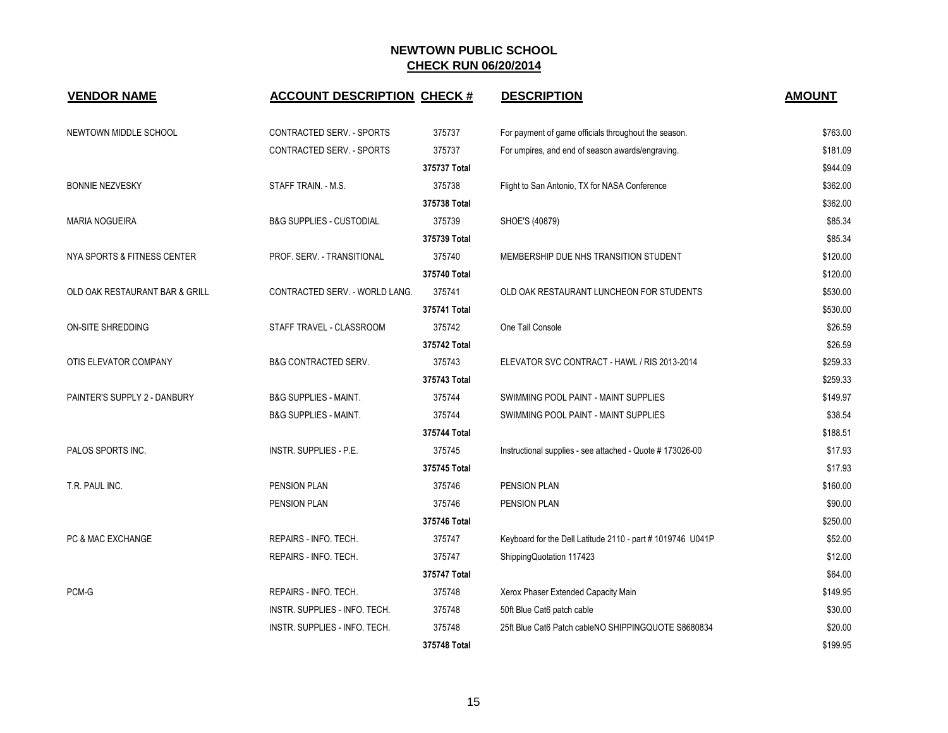| <b>VENDOR NAME</b>             | <b>ACCOUNT DESCRIPTION CHECK #</b>  |              | <b>DESCRIPTION</b>                                         | <b>AMOUNT</b> |
|--------------------------------|-------------------------------------|--------------|------------------------------------------------------------|---------------|
| NEWTOWN MIDDLE SCHOOL          | CONTRACTED SERV. - SPORTS           | 375737       | For payment of game officials throughout the season.       | \$763.00      |
|                                | CONTRACTED SERV. - SPORTS           | 375737       | For umpires, and end of season awards/engraving.           | \$181.09      |
|                                |                                     | 375737 Total |                                                            | \$944.09      |
| <b>BONNIE NEZVESKY</b>         | STAFF TRAIN. - M.S.                 | 375738       | Flight to San Antonio, TX for NASA Conference              | \$362.00      |
|                                |                                     | 375738 Total |                                                            | \$362.00      |
| <b>MARIA NOGUEIRA</b>          | <b>B&amp;G SUPPLIES - CUSTODIAL</b> | 375739       | SHOE'S (40879)                                             | \$85.34       |
|                                |                                     | 375739 Total |                                                            | \$85.34       |
| NYA SPORTS & FITNESS CENTER    | PROF. SERV. - TRANSITIONAL          | 375740       | MEMBERSHIP DUE NHS TRANSITION STUDENT                      | \$120.00      |
|                                |                                     | 375740 Total |                                                            | \$120.00      |
| OLD OAK RESTAURANT BAR & GRILL | CONTRACTED SERV. - WORLD LANG.      | 375741       | OLD OAK RESTAURANT LUNCHEON FOR STUDENTS                   | \$530.00      |
|                                |                                     | 375741 Total |                                                            | \$530.00      |
| ON-SITE SHREDDING              | STAFF TRAVEL - CLASSROOM            | 375742       | One Tall Console                                           | \$26.59       |
|                                |                                     | 375742 Total |                                                            | \$26.59       |
| OTIS ELEVATOR COMPANY          | <b>B&amp;G CONTRACTED SERV.</b>     | 375743       | ELEVATOR SVC CONTRACT - HAWL / RIS 2013-2014               | \$259.33      |
|                                |                                     | 375743 Total |                                                            | \$259.33      |
| PAINTER'S SUPPLY 2 - DANBURY   | <b>B&amp;G SUPPLIES - MAINT.</b>    | 375744       | SWIMMING POOL PAINT - MAINT SUPPLIES                       | \$149.97      |
|                                | <b>B&amp;G SUPPLIES - MAINT.</b>    | 375744       | SWIMMING POOL PAINT - MAINT SUPPLIES                       | \$38.54       |
|                                |                                     | 375744 Total |                                                            | \$188.51      |
| PALOS SPORTS INC.              | INSTR. SUPPLIES - P.E.              | 375745       | Instructional supplies - see attached - Quote # 173026-00  | \$17.93       |
|                                |                                     | 375745 Total |                                                            | \$17.93       |
| T.R. PAUL INC.                 | PENSION PLAN                        | 375746       | PENSION PLAN                                               | \$160.00      |
|                                | PENSION PLAN                        | 375746       | PENSION PLAN                                               | \$90.00       |
|                                |                                     | 375746 Total |                                                            | \$250.00      |
| PC & MAC EXCHANGE              | REPAIRS - INFO. TECH.               | 375747       | Keyboard for the Dell Latitude 2110 - part # 1019746 U041P | \$52.00       |
|                                | REPAIRS - INFO. TECH.               | 375747       | ShippingQuotation 117423                                   | \$12.00       |
|                                |                                     | 375747 Total |                                                            | \$64.00       |
| PCM-G                          | REPAIRS - INFO. TECH.               | 375748       | Xerox Phaser Extended Capacity Main                        | \$149.95      |
|                                | INSTR. SUPPLIES - INFO. TECH.       | 375748       | 50ft Blue Cat6 patch cable                                 | \$30.00       |
|                                | INSTR. SUPPLIES - INFO. TECH.       | 375748       | 25ft Blue Cat6 Patch cableNO SHIPPINGQUOTE S8680834        | \$20.00       |
|                                |                                     | 375748 Total |                                                            | \$199.95      |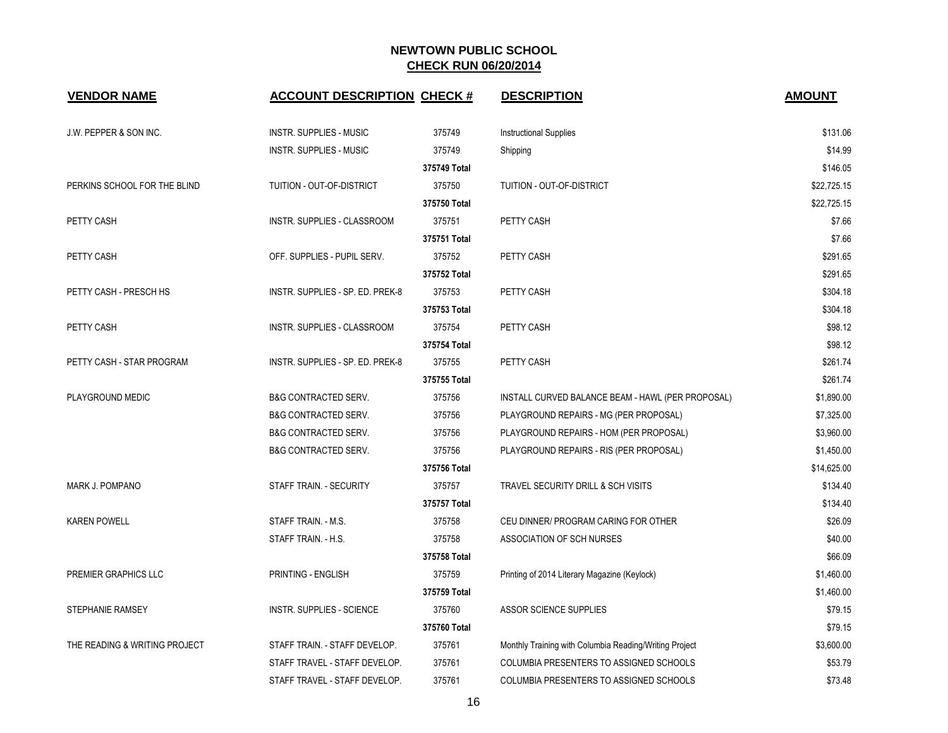| <b>VENDOR NAME</b>            | <b>ACCOUNT DESCRIPTION CHECK #</b> |              | <b>DESCRIPTION</b>                                     | <b>AMOUNT</b> |
|-------------------------------|------------------------------------|--------------|--------------------------------------------------------|---------------|
| J.W. PEPPER & SON INC.        | <b>INSTR. SUPPLIES - MUSIC</b>     | 375749       | <b>Instructional Supplies</b>                          | \$131.06      |
|                               | <b>INSTR. SUPPLIES - MUSIC</b>     | 375749       | Shipping                                               | \$14.99       |
|                               |                                    | 375749 Total |                                                        | \$146.05      |
| PERKINS SCHOOL FOR THE BLIND  | TUITION - OUT-OF-DISTRICT          | 375750       | TUITION - OUT-OF-DISTRICT                              | \$22,725.15   |
|                               |                                    | 375750 Total |                                                        | \$22,725.15   |
| PETTY CASH                    | <b>INSTR. SUPPLIES - CLASSROOM</b> | 375751       | PETTY CASH                                             | \$7.66        |
|                               |                                    | 375751 Total |                                                        | \$7.66        |
| PETTY CASH                    | OFF. SUPPLIES - PUPIL SERV.        | 375752       | PETTY CASH                                             | \$291.65      |
|                               |                                    | 375752 Total |                                                        | \$291.65      |
| PETTY CASH - PRESCH HS        | INSTR. SUPPLIES - SP. ED. PREK-8   | 375753       | PETTY CASH                                             | \$304.18      |
|                               |                                    | 375753 Total |                                                        | \$304.18      |
| <b>PETTY CASH</b>             | <b>INSTR. SUPPLIES - CLASSROOM</b> | 375754       | <b>PETTY CASH</b>                                      | \$98.12       |
|                               |                                    | 375754 Total |                                                        | \$98.12       |
| PETTY CASH - STAR PROGRAM     | INSTR. SUPPLIES - SP. ED. PREK-8   | 375755       | PETTY CASH                                             | \$261.74      |
|                               |                                    | 375755 Total |                                                        | \$261.74      |
| PLAYGROUND MEDIC              | <b>B&amp;G CONTRACTED SERV.</b>    | 375756       | INSTALL CURVED BALANCE BEAM - HAWL (PER PROPOSAL)      | \$1,890.00    |
|                               | <b>B&amp;G CONTRACTED SERV.</b>    | 375756       | PLAYGROUND REPAIRS - MG (PER PROPOSAL)                 | \$7,325.00    |
|                               | <b>B&amp;G CONTRACTED SERV.</b>    | 375756       | PLAYGROUND REPAIRS - HOM (PER PROPOSAL)                | \$3,960.00    |
|                               | <b>B&amp;G CONTRACTED SERV.</b>    | 375756       | PLAYGROUND REPAIRS - RIS (PER PROPOSAL)                | \$1,450.00    |
|                               |                                    | 375756 Total |                                                        | \$14,625.00   |
| MARK J. POMPANO               | STAFF TRAIN. - SECURITY            | 375757       | TRAVEL SECURITY DRILL & SCH VISITS                     | \$134.40      |
|                               |                                    | 375757 Total |                                                        | \$134.40      |
| <b>KAREN POWELL</b>           | STAFF TRAIN. - M.S.                | 375758       | CEU DINNER/ PROGRAM CARING FOR OTHER                   | \$26.09       |
|                               | STAFF TRAIN. - H.S.                | 375758       | ASSOCIATION OF SCH NURSES                              | \$40.00       |
|                               |                                    | 375758 Total |                                                        | \$66.09       |
| PREMIER GRAPHICS LLC          | PRINTING - ENGLISH                 | 375759       | Printing of 2014 Literary Magazine (Keylock)           | \$1,460.00    |
|                               |                                    | 375759 Total |                                                        | \$1,460.00    |
| STEPHANIE RAMSEY              | <b>INSTR. SUPPLIES - SCIENCE</b>   | 375760       | <b>ASSOR SCIENCE SUPPLIES</b>                          | \$79.15       |
|                               |                                    | 375760 Total |                                                        | \$79.15       |
| THE READING & WRITING PROJECT | STAFF TRAIN. - STAFF DEVELOP.      | 375761       | Monthly Training with Columbia Reading/Writing Project | \$3,600.00    |
|                               | STAFF TRAVEL - STAFF DEVELOP.      | 375761       | COLUMBIA PRESENTERS TO ASSIGNED SCHOOLS                | \$53.79       |
|                               | STAFF TRAVEL - STAFF DEVELOP.      | 375761       | COLUMBIA PRESENTERS TO ASSIGNED SCHOOLS                | \$73.48       |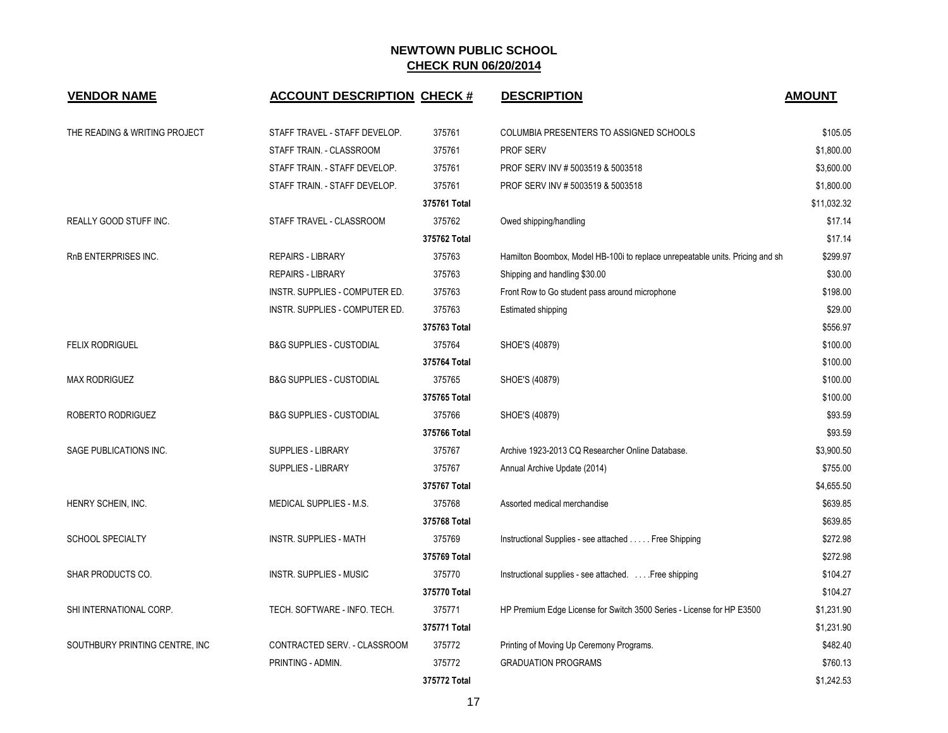| <b>VENDOR NAME</b>              | <b>ACCOUNT DESCRIPTION CHECK #</b>  |              | <b>DESCRIPTION</b>                                                            | <b>AMOUNT</b> |
|---------------------------------|-------------------------------------|--------------|-------------------------------------------------------------------------------|---------------|
|                                 |                                     |              |                                                                               |               |
| THE READING & WRITING PROJECT   | STAFF TRAVEL - STAFF DEVELOP.       | 375761       | COLUMBIA PRESENTERS TO ASSIGNED SCHOOLS                                       | \$105.05      |
|                                 | STAFF TRAIN. - CLASSROOM            | 375761       | PROF SERV                                                                     | \$1,800.00    |
|                                 | STAFF TRAIN. - STAFF DEVELOP.       | 375761       | PROF SERV INV # 5003519 & 5003518                                             | \$3,600.00    |
|                                 | STAFF TRAIN. - STAFF DEVELOP.       | 375761       | PROF SERV INV # 5003519 & 5003518                                             | \$1,800.00    |
|                                 |                                     | 375761 Total |                                                                               | \$11,032.32   |
| REALLY GOOD STUFF INC.          | STAFF TRAVEL - CLASSROOM            | 375762       | Owed shipping/handling                                                        | \$17.14       |
|                                 |                                     | 375762 Total |                                                                               | \$17.14       |
| RnB ENTERPRISES INC.            | <b>REPAIRS - LIBRARY</b>            | 375763       | Hamilton Boombox, Model HB-100i to replace unrepeatable units. Pricing and sh | \$299.97      |
|                                 | <b>REPAIRS - LIBRARY</b>            | 375763       | Shipping and handling \$30.00                                                 | \$30.00       |
|                                 | INSTR. SUPPLIES - COMPUTER ED.      | 375763       | Front Row to Go student pass around microphone                                | \$198.00      |
|                                 | INSTR. SUPPLIES - COMPUTER ED.      | 375763       | Estimated shipping                                                            | \$29.00       |
|                                 |                                     | 375763 Total |                                                                               | \$556.97      |
| <b>FELIX RODRIGUEL</b>          | <b>B&amp;G SUPPLIES - CUSTODIAL</b> | 375764       | SHOE'S (40879)                                                                | \$100.00      |
|                                 |                                     | 375764 Total |                                                                               | \$100.00      |
| <b>MAX RODRIGUEZ</b>            | <b>B&amp;G SUPPLIES - CUSTODIAL</b> | 375765       | SHOE'S (40879)                                                                | \$100.00      |
|                                 |                                     | 375765 Total |                                                                               | \$100.00      |
| ROBERTO RODRIGUEZ               | <b>B&amp;G SUPPLIES - CUSTODIAL</b> | 375766       | SHOE'S (40879)                                                                | \$93.59       |
|                                 |                                     | 375766 Total |                                                                               | \$93.59       |
| SAGE PUBLICATIONS INC.          | <b>SUPPLIES - LIBRARY</b>           | 375767       | Archive 1923-2013 CQ Researcher Online Database.                              | \$3,900.50    |
|                                 | SUPPLIES - LIBRARY                  | 375767       | Annual Archive Update (2014)                                                  | \$755.00      |
|                                 |                                     | 375767 Total |                                                                               | \$4,655.50    |
| HENRY SCHEIN, INC.              | MEDICAL SUPPLIES - M.S.             | 375768       | Assorted medical merchandise                                                  | \$639.85      |
|                                 |                                     | 375768 Total |                                                                               | \$639.85      |
| <b>SCHOOL SPECIALTY</b>         | <b>INSTR. SUPPLIES - MATH</b>       | 375769       | Instructional Supplies - see attached Free Shipping                           | \$272.98      |
|                                 |                                     | 375769 Total |                                                                               | \$272.98      |
| SHAR PRODUCTS CO.               | INSTR. SUPPLIES - MUSIC             | 375770       | Instructional supplies - see attached. Free shipping                          | \$104.27      |
|                                 |                                     | 375770 Total |                                                                               | \$104.27      |
| SHI INTERNATIONAL CORP.         | TECH. SOFTWARE - INFO. TECH.        | 375771       | HP Premium Edge License for Switch 3500 Series - License for HP E3500         | \$1,231.90    |
|                                 |                                     | 375771 Total |                                                                               | \$1,231.90    |
| SOUTHBURY PRINTING CENTRE, INC. | CONTRACTED SERV. - CLASSROOM        | 375772       | Printing of Moving Up Ceremony Programs.                                      | \$482.40      |
|                                 | PRINTING - ADMIN.                   | 375772       | <b>GRADUATION PROGRAMS</b>                                                    | \$760.13      |
|                                 |                                     | 375772 Total |                                                                               | \$1,242.53    |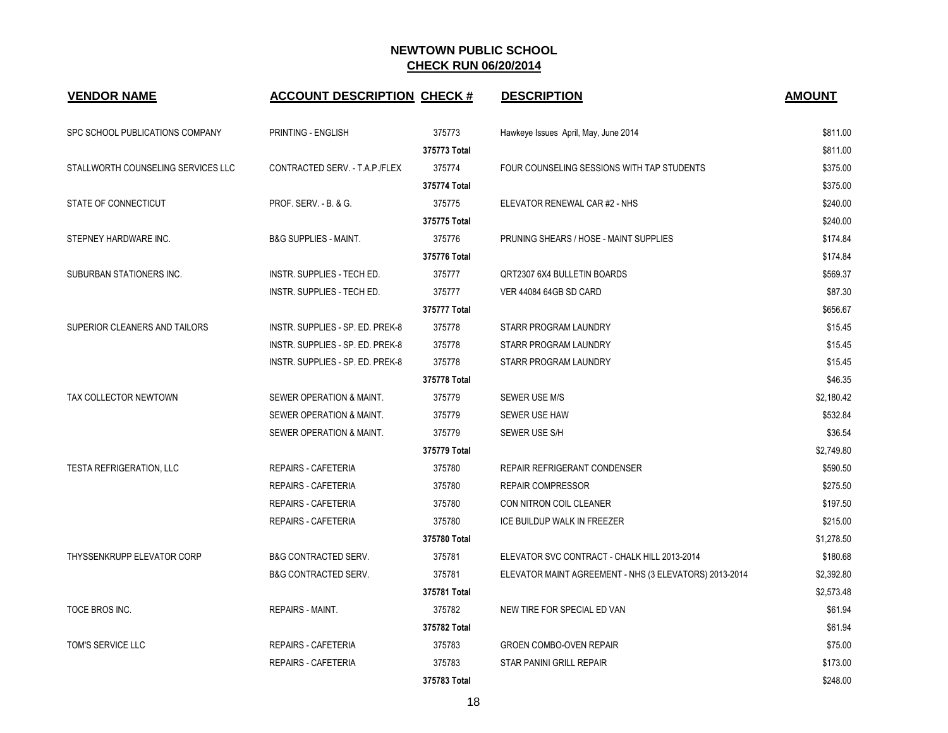| <b>VENDOR NAME</b>                 | <b>ACCOUNT DESCRIPTION CHECK #</b> |              | <b>DESCRIPTION</b>                                     | <b>AMOUNT</b> |
|------------------------------------|------------------------------------|--------------|--------------------------------------------------------|---------------|
| SPC SCHOOL PUBLICATIONS COMPANY    | PRINTING - ENGLISH                 | 375773       | Hawkeye Issues April, May, June 2014                   | \$811.00      |
|                                    |                                    | 375773 Total |                                                        | \$811.00      |
| STALLWORTH COUNSELING SERVICES LLC | CONTRACTED SERV. - T.A.P./FLEX     | 375774       | FOUR COUNSELING SESSIONS WITH TAP STUDENTS             | \$375.00      |
|                                    |                                    | 375774 Total |                                                        | \$375.00      |
| STATE OF CONNECTICUT               | PROF. SERV. - B. & G.              | 375775       | ELEVATOR RENEWAL CAR #2 - NHS                          | \$240.00      |
|                                    |                                    | 375775 Total |                                                        | \$240.00      |
| STEPNEY HARDWARE INC.              | <b>B&amp;G SUPPLIES - MAINT.</b>   | 375776       | PRUNING SHEARS / HOSE - MAINT SUPPLIES                 | \$174.84      |
|                                    |                                    | 375776 Total |                                                        | \$174.84      |
| SUBURBAN STATIONERS INC.           | INSTR. SUPPLIES - TECH ED.         | 375777       | QRT2307 6X4 BULLETIN BOARDS                            | \$569.37      |
|                                    | INSTR. SUPPLIES - TECH ED.         | 375777       | VER 44084 64GB SD CARD                                 | \$87.30       |
|                                    |                                    | 375777 Total |                                                        | \$656.67      |
| SUPERIOR CLEANERS AND TAILORS      | INSTR. SUPPLIES - SP. ED. PREK-8   | 375778       | STARR PROGRAM LAUNDRY                                  | \$15.45       |
|                                    | INSTR. SUPPLIES - SP. ED. PREK-8   | 375778       | STARR PROGRAM LAUNDRY                                  | \$15.45       |
|                                    | INSTR. SUPPLIES - SP. ED. PREK-8   | 375778       | STARR PROGRAM LAUNDRY                                  | \$15.45       |
|                                    |                                    | 375778 Total |                                                        | \$46.35       |
| TAX COLLECTOR NEWTOWN              | SEWER OPERATION & MAINT.           | 375779       | SEWER USE M/S                                          | \$2,180.42    |
|                                    | SEWER OPERATION & MAINT.           | 375779       | SEWER USE HAW                                          | \$532.84      |
|                                    | SEWER OPERATION & MAINT.           | 375779       | SEWER USE S/H                                          | \$36.54       |
|                                    |                                    | 375779 Total |                                                        | \$2,749.80    |
| <b>TESTA REFRIGERATION, LLC</b>    | <b>REPAIRS - CAFETERIA</b>         | 375780       | <b>REPAIR REFRIGERANT CONDENSER</b>                    | \$590.50      |
|                                    | <b>REPAIRS - CAFETERIA</b>         | 375780       | <b>REPAIR COMPRESSOR</b>                               | \$275.50      |
|                                    | <b>REPAIRS - CAFETERIA</b>         | 375780       | CON NITRON COIL CLEANER                                | \$197.50      |
|                                    | REPAIRS - CAFETERIA                | 375780       | ICE BUILDUP WALK IN FREEZER                            | \$215.00      |
|                                    |                                    | 375780 Total |                                                        | \$1,278.50    |
| <b>THYSSENKRUPP ELEVATOR CORP</b>  | <b>B&amp;G CONTRACTED SERV.</b>    | 375781       | ELEVATOR SVC CONTRACT - CHALK HILL 2013-2014           | \$180.68      |
|                                    | <b>B&amp;G CONTRACTED SERV.</b>    | 375781       | ELEVATOR MAINT AGREEMENT - NHS (3 ELEVATORS) 2013-2014 | \$2,392.80    |
|                                    |                                    | 375781 Total |                                                        | \$2,573.48    |
| TOCE BROS INC.                     | <b>REPAIRS - MAINT.</b>            | 375782       | NEW TIRE FOR SPECIAL ED VAN                            | \$61.94       |
|                                    |                                    | 375782 Total |                                                        | \$61.94       |
| TOM'S SERVICE LLC                  | REPAIRS - CAFETERIA                | 375783       | <b>GROEN COMBO-OVEN REPAIR</b>                         | \$75.00       |
|                                    | <b>REPAIRS - CAFETERIA</b>         | 375783       | STAR PANINI GRILL REPAIR                               | \$173.00      |
|                                    |                                    | 375783 Total |                                                        | \$248.00      |